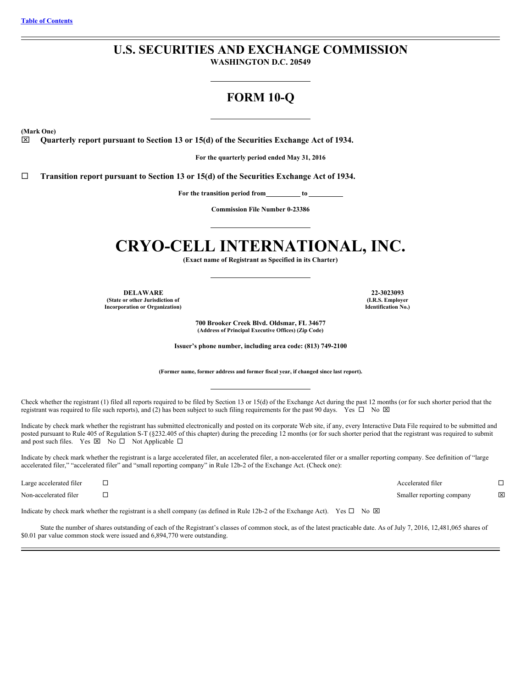# **U.S. SECURITIES AND EXCHANGE COMMISSION**

**WASHINGTON D.C. 20549**

# **FORM 10-Q**

**(Mark One)**

x **Quarterly report pursuant to Section 13 or 15(d) of the Securities Exchange Act of 1934.**

**For the quarterly period ended May 31, 2016**

¨ **Transition report pursuant to Section 13 or 15(d) of the Securities Exchange Act of 1934.**

**For the transition period from to**

**Commission File Number 0-23386**

# **CRYO-CELL INTERNATIONAL, INC.**

**(Exact name of Registrant as Specified in its Charter)**

**DELAWARE 22-3023093 (State or other Jurisdiction of Incorporation or Organization)**

**(I.R.S. Employer Identification No.)**

**700 Brooker Creek Blvd. Oldsmar, FL 34677 (Address of Principal Executive Offices) (Zip Code)**

**Issuer's phone number, including area code: (813) 749-2100**

**(Former name, former address and former fiscal year, if changed since last report).**

Check whether the registrant (1) filed all reports required to be filed by Section 13 or 15(d) of the Exchange Act during the past 12 months (or for such shorter period that the registrant was required to file such reports), and (2) has been subject to such filing requirements for the past 90 days. Yes  $\Box$  No  $\boxtimes$ 

Indicate by check mark whether the registrant has submitted electronically and posted on its corporate Web site, if any, every Interactive Data File required to be submitted and posted pursuant to Rule 405 of Regulation S-T (§232.405 of this chapter) during the preceding 12 months (or for such shorter period that the registrant was required to submit and post such files. Yes  $\boxtimes$  No  $\square$  Not Applicable  $\square$ 

Indicate by check mark whether the registrant is a large accelerated filer, an accelerated filer, a non-accelerated filer or a smaller reporting company. See definition of "large accelerated filer," "accelerated filer" and "small reporting company" in Rule 12b-2 of the Exchange Act. (Check one):

| Large accelerated filer | Accelerated filer         |                         |
|-------------------------|---------------------------|-------------------------|
| Non-accelerated filer   | Smaller reporting company | $\overline{\mathsf{x}}$ |
|                         |                           |                         |

Indicate by check mark whether the registrant is a shell company (as defined in Rule 12b-2 of the Exchange Act). Yes  $\Box$  No  $\boxtimes$ 

State the number of shares outstanding of each of the Registrant's classes of common stock, as of the latest practicable date. As of July 7, 2016, 12,481,065 shares of \$0.01 par value common stock were issued and 6,894,770 were outstanding.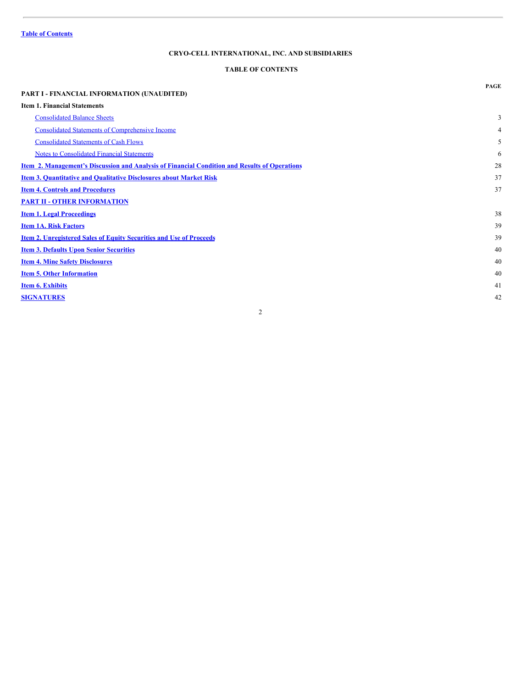# <span id="page-1-0"></span>**TABLE OF CONTENTS**

| <b>PART I - FINANCIAL INFORMATION (UNAUDITED)</b>                                             | <b>PAGE</b> |
|-----------------------------------------------------------------------------------------------|-------------|
| <b>Item 1. Financial Statements</b>                                                           |             |
| <b>Consolidated Balance Sheets</b>                                                            | 3           |
| <b>Consolidated Statements of Comprehensive Income</b>                                        | 4           |
| <b>Consolidated Statements of Cash Flows</b>                                                  | 5           |
| <b>Notes to Consolidated Financial Statements</b>                                             | 6           |
| Item 2. Management's Discussion and Analysis of Financial Condition and Results of Operations | 28          |
| <b>Item 3. Quantitative and Qualitative Disclosures about Market Risk</b>                     | 37          |
| <b>Item 4. Controls and Procedures</b>                                                        | 37          |
| <b>PART II - OTHER INFORMATION</b>                                                            |             |
| <b>Item 1. Legal Proceedings</b>                                                              | 38          |
| <b>Item 1A. Risk Factors</b>                                                                  | 39          |
| <b>Item 2. Unregistered Sales of Equity Securities and Use of Proceeds</b>                    | 39          |
| <b>Item 3. Defaults Upon Senior Securities</b>                                                | 40          |
| <b>Item 4. Mine Safety Disclosures</b>                                                        | 40          |
| <b>Item 5. Other Information</b>                                                              | 40          |
| <b>Item 6. Exhibits</b>                                                                       | 41          |
| <b>SIGNATURES</b>                                                                             | 42          |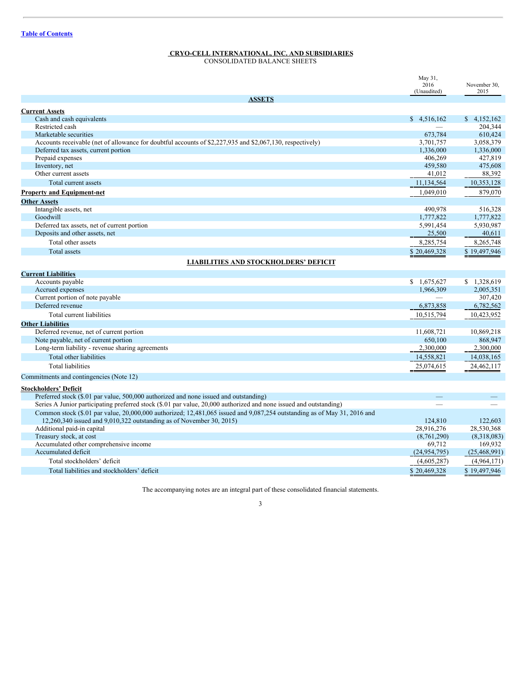<span id="page-2-0"></span>CONSOLIDATED BALANCE SHEETS

|                                                                                                                          | May 31,<br>2016 | November 30,   |
|--------------------------------------------------------------------------------------------------------------------------|-----------------|----------------|
|                                                                                                                          | (Unaudited)     | 2015           |
| <b>ASSETS</b>                                                                                                            |                 |                |
| <b>Current Assets</b>                                                                                                    |                 |                |
| Cash and cash equivalents                                                                                                | \$4,516,162     | \$4,152,162    |
| Restricted cash                                                                                                          |                 | 204.344        |
| Marketable securities                                                                                                    | 673,784         | 610.424        |
| Accounts receivable (net of allowance for doubtful accounts of \$2,227,935 and \$2,067,130, respectively)                | 3,701,757       | 3,058,379      |
| Deferred tax assets, current portion                                                                                     | 1,336,000       | 1,336,000      |
| Prepaid expenses                                                                                                         | 406,269         | 427,819        |
| Inventory, net                                                                                                           | 459,580         | 475,608        |
| Other current assets                                                                                                     | 41,012          | 88,392         |
| Total current assets                                                                                                     | 11,134,564      | 10,353,128     |
| <b>Property and Equipment-net</b>                                                                                        | 1,049,010       | 879,070        |
| <b>Other Assets</b>                                                                                                      |                 |                |
| Intangible assets, net                                                                                                   | 490,978         | 516,328        |
| Goodwill                                                                                                                 | 1,777,822       | 1,777,822      |
| Deferred tax assets, net of current portion                                                                              | 5,991,454       | 5,930,987      |
| Deposits and other assets, net                                                                                           | 25,500          | 40,611         |
| Total other assets                                                                                                       | 8,285,754       | 8,265,748      |
| <b>Total assets</b>                                                                                                      | \$20,469,328    | \$19,497,946   |
| <b>LIABILITIES AND STOCKHOLDERS' DEFICIT</b>                                                                             |                 |                |
| <b>Current Liabilities</b>                                                                                               |                 |                |
| Accounts payable                                                                                                         | \$1,675,627     | \$1,328,619    |
| Accrued expenses                                                                                                         | 1,966,309       | 2,005,351      |
| Current portion of note payable                                                                                          |                 | 307,420        |
| Deferred revenue                                                                                                         | 6,873,858       | 6,782,562      |
| Total current liabilities                                                                                                | 10,515,794      | 10,423,952     |
| <b>Other Liabilities</b>                                                                                                 |                 |                |
| Deferred revenue, net of current portion                                                                                 | 11,608,721      | 10,869,218     |
| Note payable, net of current portion                                                                                     | 650,100         | 868,947        |
| Long-term liability - revenue sharing agreements                                                                         | 2,300,000       | 2,300,000      |
| Total other liabilities                                                                                                  | 14,558,821      | 14,038,165     |
|                                                                                                                          |                 |                |
| <b>Total liabilities</b>                                                                                                 | 25,074,615      | 24,462,117     |
| Commitments and contingencies (Note 12)                                                                                  |                 |                |
| <b>Stockholders' Deficit</b>                                                                                             |                 |                |
| Preferred stock (\$.01 par value, 500,000 authorized and none issued and outstanding)                                    |                 |                |
| Series A Junior participating preferred stock (\$.01 par value, 20,000 authorized and none issued and outstanding)       |                 |                |
| Common stock (\$.01 par value, 20,000,000 authorized; 12,481,065 issued and 9,087,254 outstanding as of May 31, 2016 and |                 |                |
| 12,260,340 issued and 9,010,322 outstanding as of November 30, 2015)                                                     | 124,810         | 122,603        |
| Additional paid-in capital                                                                                               | 28,916,276      | 28,530,368     |
| Treasury stock, at cost                                                                                                  | (8,761,290)     | (8,318,083)    |
| Accumulated other comprehensive income                                                                                   | 69,712          | 169,932        |
| Accumulated deficit                                                                                                      | (24, 954, 795)  | (25, 468, 991) |
| Total stockholders' deficit                                                                                              | (4,605,287)     | (4,964,171)    |
| Total liabilities and stockholders' deficit                                                                              | \$20,469,328    | \$19,497,946   |
|                                                                                                                          |                 |                |

The accompanying notes are an integral part of these consolidated financial statements.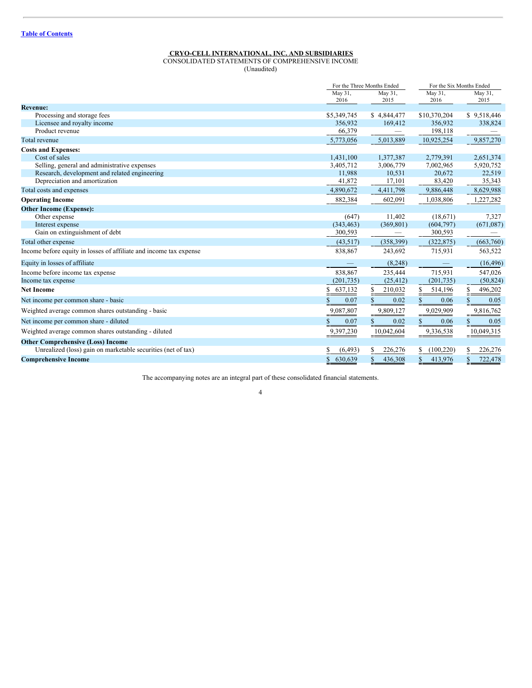<span id="page-3-0"></span>CONSOLIDATED STATEMENTS OF COMPREHENSIVE INCOME

(Unaudited)

|                                                                    |               | For the Three Months Ended |              | For the Six Months Ended |  |
|--------------------------------------------------------------------|---------------|----------------------------|--------------|--------------------------|--|
|                                                                    | May 31,       | May 31,                    | May 31,      | May 31,                  |  |
|                                                                    | 2016          | 2015                       | 2016         | 2015                     |  |
| <b>Revenue:</b><br>Processing and storage fees                     | \$5,349,745   | \$4,844,477                | \$10,370,204 | \$9,518,446              |  |
| Licensee and royalty income                                        | 356,932       | 169,412                    | 356,932      | 338,824                  |  |
| Product revenue                                                    | 66,379        |                            | 198,118      |                          |  |
| Total revenue                                                      | 5,773,056     | 5,013,889                  | 10,925,254   | 9,857,270                |  |
| <b>Costs and Expenses:</b>                                         |               |                            |              |                          |  |
| Cost of sales                                                      | 1,431,100     | 1,377,387                  | 2,779,391    | 2,651,374                |  |
| Selling, general and administrative expenses                       | 3,405,712     | 3,006,779                  | 7,002,965    | 5,920,752                |  |
| Research, development and related engineering                      | 11,988        | 10,531                     | 20,672       | 22,519                   |  |
| Depreciation and amortization                                      | 41,872        | 17,101                     | 83,420       | 35,343                   |  |
| Total costs and expenses                                           | 4,890,672     | 4,411,798                  | 9,886,448    | 8,629,988                |  |
| <b>Operating Income</b>                                            | 882,384       | 602,091                    | 1,038,806    | 1,227,282                |  |
| <b>Other Income (Expense):</b>                                     |               |                            |              |                          |  |
| Other expense                                                      | (647)         | 11,402                     | (18,671)     | 7,327                    |  |
| Interest expense                                                   | (343, 463)    | (369, 801)                 | (604, 797)   | (671,087)                |  |
| Gain on extinguishment of debt                                     | 300,593       |                            | 300,593      |                          |  |
| Total other expense                                                | (43, 517)     | (358, 399)                 | (322, 875)   | (663,760)                |  |
| Income before equity in losses of affiliate and income tax expense | 838,867       | 243,692                    | 715,931      | 563,522                  |  |
| Equity in losses of affiliate                                      |               | (8, 248)                   |              | (16, 496)                |  |
| Income before income tax expense                                   | 838,867       | 235,444                    | 715,931      | 547,026                  |  |
| Income tax expense                                                 | (201, 735)    | (25, 412)                  | (201, 735)   | (50, 824)                |  |
| <b>Net Income</b>                                                  | 637,132       | $\frac{S}{2}$<br>210,032   | 514,196      | 496,202                  |  |
| Net income per common share - basic                                | 0.07          | $\mathbb{S}$<br>0.02       | 0.06         | 0.05                     |  |
| Weighted average common shares outstanding - basic                 | 9,087,807     | 9,809,127                  | 9,029,909    | 9,816,762                |  |
| Net income per common share - diluted                              | 0.07          | $\mathbb{S}$<br>0.02       | 0.06         | 0.05                     |  |
| Weighted average common shares outstanding - diluted               | 9,397,230     | 10,042,604                 | 9,336,538    | 10,049,315               |  |
| <b>Other Comprehensive (Loss) Income</b>                           |               |                            |              |                          |  |
| Unrealized (loss) gain on marketable securities (net of tax)       | (6, 493)      | 226,276                    | (100, 220)   | 226,276                  |  |
| <b>Comprehensive Income</b>                                        | \$<br>630,639 | \$<br>436,308              | 413,976      | 722,478<br>\$            |  |

The accompanying notes are an integral part of these consolidated financial statements.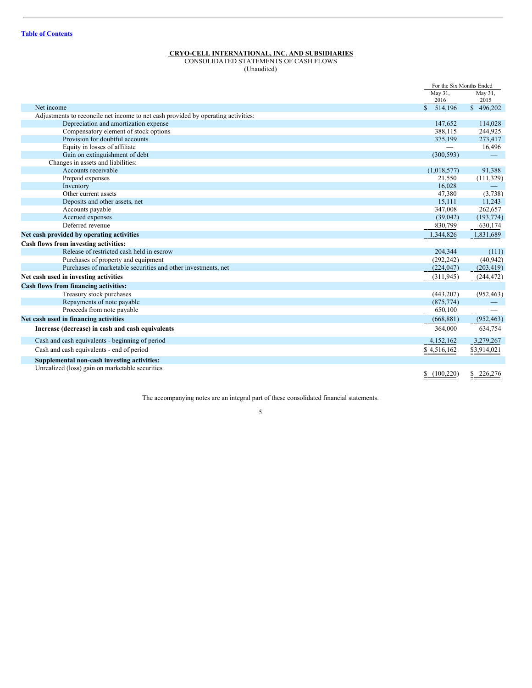<span id="page-4-0"></span>CONSOLIDATED STATEMENTS OF CASH FLOWS

(Unaudited)

|                                                                                   | For the Six Months Ended |             |
|-----------------------------------------------------------------------------------|--------------------------|-------------|
|                                                                                   | May 31,                  | May 31,     |
|                                                                                   | 2016                     | 2015        |
| Net income                                                                        | $\mathbb{S}$<br>514,196  | \$496,202   |
| Adjustments to reconcile net income to net cash provided by operating activities: |                          |             |
| Depreciation and amortization expense                                             | 147,652                  | 114,028     |
| Compensatory element of stock options                                             | 388,115                  | 244,925     |
| Provision for doubtful accounts                                                   | 375,199                  | 273,417     |
| Equity in losses of affiliate                                                     |                          | 16,496      |
| Gain on extinguishment of debt                                                    | (300, 593)               |             |
| Changes in assets and liabilities:                                                |                          |             |
| Accounts receivable                                                               | (1,018,577)              | 91,388      |
| Prepaid expenses                                                                  | 21,550                   | (111, 329)  |
| Inventory                                                                         | 16,028                   |             |
| Other current assets                                                              | 47,380                   | (3,738)     |
| Deposits and other assets, net                                                    | 15,111                   | 11,243      |
| Accounts payable                                                                  | 347,008                  | 262,657     |
| Accrued expenses                                                                  | (39,042)                 | (193, 774)  |
| Deferred revenue                                                                  | 830,799                  | 630,174     |
| Net cash provided by operating activities                                         | 1,344,826                | 1,831,689   |
| Cash flows from investing activities:                                             |                          |             |
| Release of restricted cash held in escrow                                         | 204,344                  | (111)       |
| Purchases of property and equipment                                               | (292, 242)               | (40, 942)   |
| Purchases of marketable securities and other investments, net                     | (224, 047)               | (203, 419)  |
| Net cash used in investing activities                                             | (311, 945)               | (244, 472)  |
| Cash flows from financing activities:                                             |                          |             |
| Treasury stock purchases                                                          | (443, 207)               | (952, 463)  |
| Repayments of note payable                                                        | (875, 774)               |             |
| Proceeds from note payable                                                        | 650,100                  |             |
| Net cash used in financing activities                                             | (668, 881)               | (952, 463)  |
| Increase (decrease) in cash and cash equivalents                                  | 364,000                  | 634,754     |
| Cash and cash equivalents - beginning of period                                   | 4,152,162                | 3,279,267   |
| Cash and cash equivalents - end of period                                         | \$4,516,162              | \$3,914,021 |
| Supplemental non-cash investing activities:                                       |                          |             |
| Unrealized (loss) gain on marketable securities                                   | \$(100,220)              | 226,276     |

The accompanying notes are an integral part of these consolidated financial statements.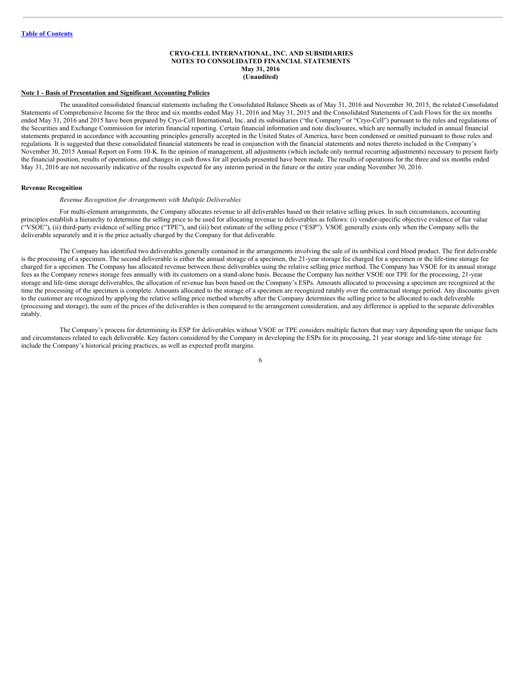#### <span id="page-5-0"></span>**CRYO-CELL INTERNATIONAL, INC. AND SUBSIDIARIES NOTES TO CONSOLIDATED FINANCIAL STATEMENTS May 31, 2016 (Unaudited)**

#### **Note 1 - Basis of Presentation and Significant Accounting Policies**

The unaudited consolidated financial statements including the Consolidated Balance Sheets as of May 31, 2016 and November 30, 2015, the related Consolidated Statements of Comprehensive Income for the three and six months ended May 31, 2016 and May 31, 2015 and the Consolidated Statements of Cash Flows for the six months ended May 31, 2016 and 2015 have been prepared by Cryo-Cell International, Inc. and its subsidiaries ("the Company" or "Cryo-Cell") pursuant to the rules and regulations of the Securities and Exchange Commission for interim financial reporting. Certain financial information and note disclosures, which are normally included in annual financial statements prepared in accordance with accounting principles generally accepted in the United States of America, have been condensed or omitted pursuant to those rules and regulations. It is suggested that these consolidated financial statements be read in conjunction with the financial statements and notes thereto included in the Company's November 30, 2015 Annual Report on Form 10-K. In the opinion of management, all adjustments (which include only normal recurring adjustments) necessary to present fairly the financial position, results of operations, and changes in cash flows for all periods presented have been made. The results of operations for the three and six months ended May 31, 2016 are not necessarily indicative of the results expected for any interim period in the future or the entire year ending November 30, 2016.

#### **Revenue Recognition**

#### *Revenue Recognition for Arrangements with Multiple Deliverables*

For multi-element arrangements, the Company allocates revenue to all deliverables based on their relative selling prices. In such circumstances, accounting principles establish a hierarchy to determine the selling price to be used for allocating revenue to deliverables as follows: (i) vendor-specific objective evidence of fair value ("VSOE"), (ii) third-party evidence of selling price ("TPE"), and (iii) best estimate of the selling price ("ESP"). VSOE generally exists only when the Company sells the deliverable separately and it is the price actually charged by the Company for that deliverable.

The Company has identified two deliverables generally contained in the arrangements involving the sale of its umbilical cord blood product. The first deliverable is the processing of a specimen. The second deliverable is either the annual storage of a specimen, the 21-year storage fee charged for a specimen or the life-time storage fee charged for a specimen. The Company has allocated revenue between these deliverables using the relative selling price method. The Company has VSOE for its annual storage fees as the Company renews storage fees annually with its customers on a stand-alone basis. Because the Company has neither VSOE nor TPE for the processing, 21-year storage and life-time storage deliverables, the allocation of revenue has been based on the Company's ESPs. Amounts allocated to processing a specimen are recognized at the time the processing of the specimen is complete. Amounts allocated to the storage of a specimen are recognized ratably over the contractual storage period. Any discounts given to the customer are recognized by applying the relative selling price method whereby after the Company determines the selling price to be allocated to each deliverable (processing and storage), the sum of the prices of the deliverables is then compared to the arrangement consideration, and any difference is applied to the separate deliverables ratably.

The Company's process for determining its ESP for deliverables without VSOE or TPE considers multiple factors that may vary depending upon the unique facts and circumstances related to each deliverable. Key factors considered by the Company in developing the ESPs for its processing, 21 year storage and life-time storage fee include the Company's historical pricing practices, as well as expected profit margins.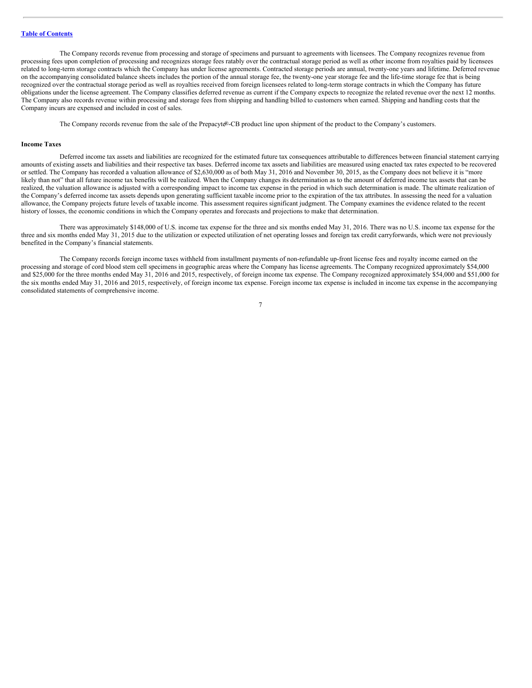The Company records revenue from processing and storage of specimens and pursuant to agreements with licensees. The Company recognizes revenue from processing fees upon completion of processing and recognizes storage fees ratably over the contractual storage period as well as other income from royalties paid by licensees related to long-term storage contracts which the Company has under license agreements. Contracted storage periods are annual, twenty-one years and lifetime. Deferred revenue on the accompanying consolidated balance sheets includes the portion of the annual storage fee, the twenty-one year storage fee and the life-time storage fee that is being recognized over the contractual storage period as well as royalties received from foreign licensees related to long-term storage contracts in which the Company has future obligations under the license agreement. The Company classifies deferred revenue as current if the Company expects to recognize the related revenue over the next 12 months. The Company also records revenue within processing and storage fees from shipping and handling billed to customers when earned. Shipping and handling costs that the Company incurs are expensed and included in cost of sales.

The Company records revenue from the sale of the Prepacyte®-CB product line upon shipment of the product to the Company's customers.

#### **Income Taxes**

Deferred income tax assets and liabilities are recognized for the estimated future tax consequences attributable to differences between financial statement carrying amounts of existing assets and liabilities and their respective tax bases. Deferred income tax assets and liabilities are measured using enacted tax rates expected to be recovered or settled. The Company has recorded a valuation allowance of \$2,630,000 as of both May 31, 2016 and November 30, 2015, as the Company does not believe it is "more likely than not" that all future income tax benefits will be realized. When the Company changes its determination as to the amount of deferred income tax assets that can be realized, the valuation allowance is adjusted with a corresponding impact to income tax expense in the period in which such determination is made. The ultimate realization of the Company's deferred income tax assets depends upon generating sufficient taxable income prior to the expiration of the tax attributes. In assessing the need for a valuation allowance, the Company projects future levels of taxable income. This assessment requires significant judgment. The Company examines the evidence related to the recent history of losses, the economic conditions in which the Company operates and forecasts and projections to make that determination.

There was approximately \$148,000 of U.S. income tax expense for the three and six months ended May 31, 2016. There was no U.S. income tax expense for the three and six months ended May 31, 2015 due to the utilization or expected utilization of net operating losses and foreign tax credit carryforwards, which were not previously benefited in the Company's financial statements.

The Company records foreign income taxes withheld from installment payments of non-refundable up-front license fees and royalty income earned on the processing and storage of cord blood stem cell specimens in geographic areas where the Company has license agreements. The Company recognized approximately \$54,000 and \$25,000 for the three months ended May 31, 2016 and 2015, respectively, of foreign income tax expense. The Company recognized approximately \$54,000 and \$51,000 for the six months ended May 31, 2016 and 2015, respectively, of foreign income tax expense. Foreign income tax expense is included in income tax expense in the accompanying consolidated statements of comprehensive income.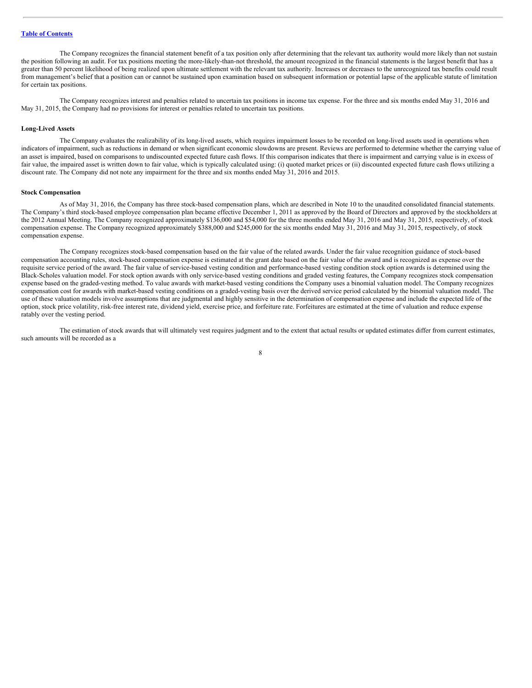The Company recognizes the financial statement benefit of a tax position only after determining that the relevant tax authority would more likely than not sustain the position following an audit. For tax positions meeting the more-likely-than-not threshold, the amount recognized in the financial statements is the largest benefit that has a greater than 50 percent likelihood of being realized upon ultimate settlement with the relevant tax authority. Increases or decreases to the unrecognized tax benefits could result from management's belief that a position can or cannot be sustained upon examination based on subsequent information or potential lapse of the applicable statute of limitation for certain tax positions.

The Company recognizes interest and penalties related to uncertain tax positions in income tax expense. For the three and six months ended May 31, 2016 and May 31, 2015, the Company had no provisions for interest or penalties related to uncertain tax positions.

#### **Long-Lived Assets**

The Company evaluates the realizability of its long-lived assets, which requires impairment losses to be recorded on long-lived assets used in operations when indicators of impairment, such as reductions in demand or when significant economic slowdowns are present. Reviews are performed to determine whether the carrying value of an asset is impaired, based on comparisons to undiscounted expected future cash flows. If this comparison indicates that there is impairment and carrying value is in excess of fair value, the impaired asset is written down to fair value, which is typically calculated using: (i) quoted market prices or (ii) discounted expected future cash flows utilizing a discount rate. The Company did not note any impairment for the three and six months ended May 31, 2016 and 2015.

#### **Stock Compensation**

As of May 31, 2016, the Company has three stock-based compensation plans, which are described in Note 10 to the unaudited consolidated financial statements. The Company's third stock-based employee compensation plan became effective December 1, 2011 as approved by the Board of Directors and approved by the stockholders at the 2012 Annual Meeting. The Company recognized approximately \$136,000 and \$54,000 for the three months ended May 31, 2016 and May 31, 2015, respectively, of stock compensation expense. The Company recognized approximately \$388,000 and \$245,000 for the six months ended May 31, 2016 and May 31, 2015, respectively, of stock compensation expense.

The Company recognizes stock-based compensation based on the fair value of the related awards. Under the fair value recognition guidance of stock-based compensation accounting rules, stock-based compensation expense is estimated at the grant date based on the fair value of the award and is recognized as expense over the requisite service period of the award. The fair value of service-based vesting condition and performance-based vesting condition stock option awards is determined using the Black-Scholes valuation model. For stock option awards with only service-based vesting conditions and graded vesting features, the Company recognizes stock compensation expense based on the graded-vesting method. To value awards with market-based vesting conditions the Company uses a binomial valuation model. The Company recognizes compensation cost for awards with market-based vesting conditions on a graded-vesting basis over the derived service period calculated by the binomial valuation model. The use of these valuation models involve assumptions that are judgmental and highly sensitive in the determination of compensation expense and include the expected life of the option, stock price volatility, risk-free interest rate, dividend yield, exercise price, and forfeiture rate. Forfeitures are estimated at the time of valuation and reduce expense ratably over the vesting period.

The estimation of stock awards that will ultimately vest requires judgment and to the extent that actual results or updated estimates differ from current estimates, such amounts will be recorded as a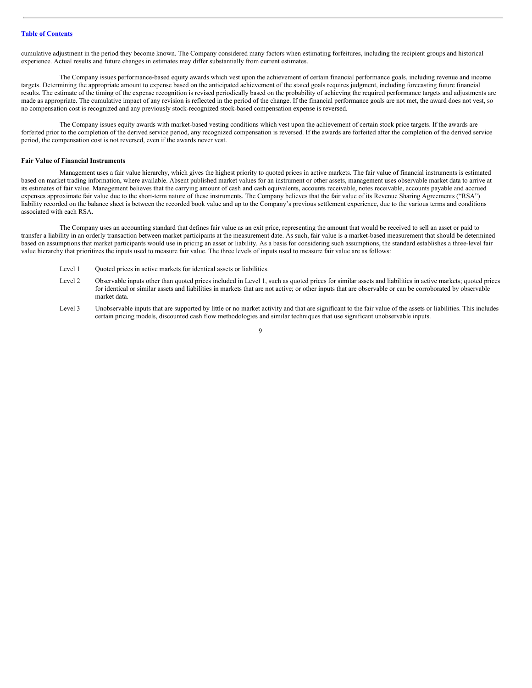cumulative adjustment in the period they become known. The Company considered many factors when estimating forfeitures, including the recipient groups and historical experience. Actual results and future changes in estimates may differ substantially from current estimates.

The Company issues performance-based equity awards which vest upon the achievement of certain financial performance goals, including revenue and income targets. Determining the appropriate amount to expense based on the anticipated achievement of the stated goals requires judgment, including forecasting future financial results. The estimate of the timing of the expense recognition is revised periodically based on the probability of achieving the required performance targets and adjustments are made as appropriate. The cumulative impact of any revision is reflected in the period of the change. If the financial performance goals are not met, the award does not vest, so no compensation cost is recognized and any previously stock-recognized stock-based compensation expense is reversed.

The Company issues equity awards with market-based vesting conditions which vest upon the achievement of certain stock price targets. If the awards are forfeited prior to the completion of the derived service period, any recognized compensation is reversed. If the awards are forfeited after the completion of the derived service period, the compensation cost is not reversed, even if the awards never vest.

#### **Fair Value of Financial Instruments**

Management uses a fair value hierarchy, which gives the highest priority to quoted prices in active markets. The fair value of financial instruments is estimated based on market trading information, where available. Absent published market values for an instrument or other assets, management uses observable market data to arrive at its estimates of fair value. Management believes that the carrying amount of cash and cash equivalents, accounts receivable, notes receivable, accounts payable and accrued expenses approximate fair value due to the short-term nature of these instruments. The Company believes that the fair value of its Revenue Sharing Agreements ("RSA") liability recorded on the balance sheet is between the recorded book value and up to the Company's previous settlement experience, due to the various terms and conditions associated with each RSA.

The Company uses an accounting standard that defines fair value as an exit price, representing the amount that would be received to sell an asset or paid to transfer a liability in an orderly transaction between market participants at the measurement date. As such, fair value is a market-based measurement that should be determined based on assumptions that market participants would use in pricing an asset or liability. As a basis for considering such assumptions, the standard establishes a three-level fair value hierarchy that prioritizes the inputs used to measure fair value. The three levels of inputs used to measure fair value are as follows:

- Level 1 Quoted prices in active markets for identical assets or liabilities.
- Level 2 Observable inputs other than quoted prices included in Level 1, such as quoted prices for similar assets and liabilities in active markets; quoted prices for identical or similar assets and liabilities in markets that are not active; or other inputs that are observable or can be corroborated by observable market data.
- Level 3 Unobservable inputs that are supported by little or no market activity and that are significant to the fair value of the assets or liabilities. This includes certain pricing models, discounted cash flow methodologies and similar techniques that use significant unobservable inputs.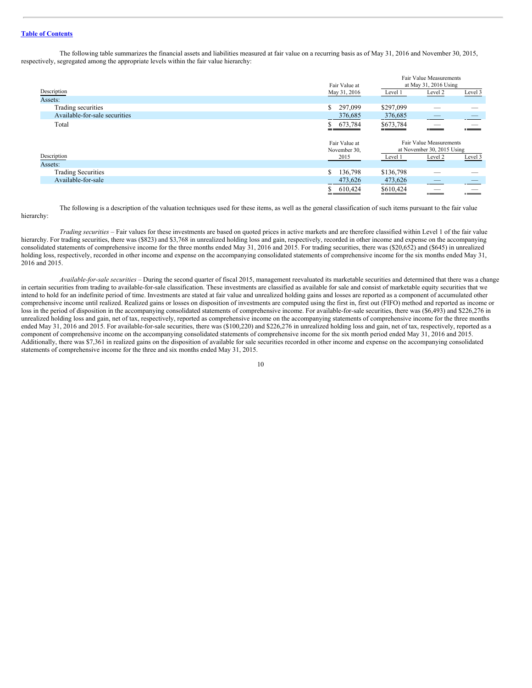The following table summarizes the financial assets and liabilities measured at fair value on a recurring basis as of May 31, 2016 and November 30, 2015, respectively, segregated among the appropriate levels within the fair value hierarchy:

|                               |                               |           | Fair Value Measurements                               |         |
|-------------------------------|-------------------------------|-----------|-------------------------------------------------------|---------|
|                               | Fair Value at                 |           | at May 31, 2016 Using                                 |         |
| Description                   | May 31, 2016                  | Level 1   | Level <sub>2</sub>                                    | Level 3 |
| Assets:                       |                               |           |                                                       |         |
| Trading securities            | S.<br>297,099                 | \$297,099 |                                                       |         |
| Available-for-sale securities | 376,685                       | 376,685   |                                                       |         |
| Total                         | 673,784<br>S.                 | \$673,784 |                                                       |         |
|                               | Fair Value at<br>November 30, |           | Fair Value Measurements<br>at November 30, 2015 Using |         |
| Description                   | 2015                          | Level 1   | Level 2                                               | Level 3 |
| Assets:                       |                               |           |                                                       |         |
| <b>Trading Securities</b>     | S.<br>136,798                 | \$136,798 | --                                                    |         |
| Available-for-sale            | 473,626                       | 473,626   | _                                                     |         |
|                               | 610,424                       | \$610,424 |                                                       |         |
|                               |                               |           |                                                       |         |

The following is a description of the valuation techniques used for these items, as well as the general classification of such items pursuant to the fair value hierarchy:

*Trading securities –* Fair values for these investments are based on quoted prices in active markets and are therefore classified within Level 1 of the fair value hierarchy. For trading securities, there was (\$823) and \$3,768 in unrealized holding loss and gain, respectively, recorded in other income and expense on the accompanying consolidated statements of comprehensive income for the three months ended May 31, 2016 and 2015. For trading securities, there was (\$20,652) and (\$645) in unrealized holding loss, respectively, recorded in other income and expense on the accompanying consolidated statements of comprehensive income for the six months ended May 31, 2016 and 2015.

*Available-for-sale securities –* During the second quarter of fiscal 2015, management reevaluated its marketable securities and determined that there was a change in certain securities from trading to available-for-sale classification. These investments are classified as available for sale and consist of marketable equity securities that we intend to hold for an indefinite period of time. Investments are stated at fair value and unrealized holding gains and losses are reported as a component of accumulated other comprehensive income until realized. Realized gains or losses on disposition of investments are computed using the first in, first out (FIFO) method and reported as income or loss in the period of disposition in the accompanying consolidated statements of comprehensive income. For available-for-sale securities, there was (\$6,493) and \$226,276 in unrealized holding loss and gain, net of tax, respectively, reported as comprehensive income on the accompanying statements of comprehensive income for the three months ended May 31, 2016 and 2015. For available-for-sale securities, there was (\$100,220) and \$226,276 in unrealized holding loss and gain, net of tax, respectively, reported as a component of comprehensive income on the accompanying consolidated statements of comprehensive income for the six month period ended May 31, 2016 and 2015. Additionally, there was \$7,361 in realized gains on the disposition of available for sale securities recorded in other income and expense on the accompanying consolidated statements of comprehensive income for the three and six months ended May 31, 2015.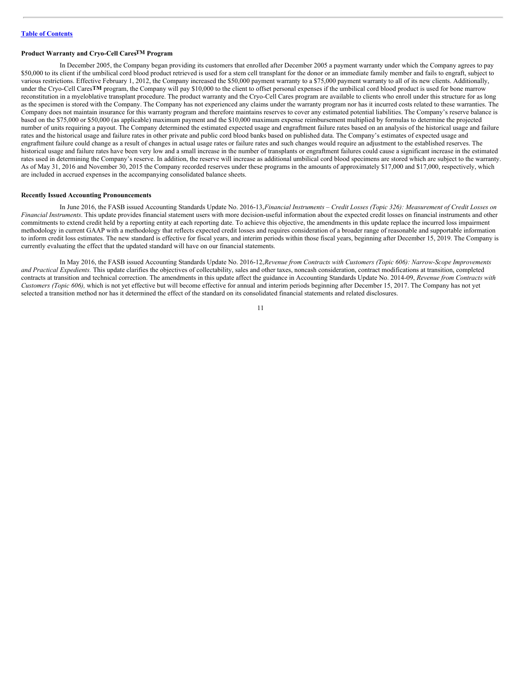#### **Product Warranty and Cryo-Cell CaresTM Program**

In December 2005, the Company began providing its customers that enrolled after December 2005 a payment warranty under which the Company agrees to pay \$50,000 to its client if the umbilical cord blood product retrieved is used for a stem cell transplant for the donor or an immediate family member and fails to engraft, subject to various restrictions. Effective February 1, 2012, the Company increased the \$50,000 payment warranty to a \$75,000 payment warranty to all of its new clients. Additionally, under the Cryo-Cell Cares**TM** program, the Company will pay \$10,000 to the client to offset personal expenses if the umbilical cord blood product is used for bone marrow reconstitution in a myeloblative transplant procedure. The product warranty and the Cryo-Cell Cares program are available to clients who enroll under this structure for as long as the specimen is stored with the Company. The Company has not experienced any claims under the warranty program nor has it incurred costs related to these warranties. The Company does not maintain insurance for this warranty program and therefore maintains reserves to cover any estimated potential liabilities. The Company's reserve balance is based on the \$75,000 or \$50,000 (as applicable) maximum payment and the \$10,000 maximum expense reimbursement multiplied by formulas to determine the projected number of units requiring a payout. The Company determined the estimated expected usage and engraftment failure rates based on an analysis of the historical usage and failure rates and the historical usage and failure rates in other private and public cord blood banks based on published data. The Company's estimates of expected usage and engraftment failure could change as a result of changes in actual usage rates or failure rates and such changes would require an adjustment to the established reserves. The historical usage and failure rates have been very low and a small increase in the number of transplants or engraftment failures could cause a significant increase in the estimated rates used in determining the Company's reserve. In addition, the reserve will increase as additional umbilical cord blood specimens are stored which are subject to the warranty. As of May 31, 2016 and November 30, 2015 the Company recorded reserves under these programs in the amounts of approximately \$17,000 and \$17,000, respectively, which are included in accrued expenses in the accompanying consolidated balance sheets.

#### **Recently Issued Accounting Pronouncements**

In June 2016, the FASB issued Accounting Standards Update No. 2016-13, Financial Instruments - Credit Losses (Topic 326): Measurement of Credit Losses on *Financial Instruments*. This update provides financial statement users with more decision-useful information about the expected credit losses on financial instruments and other commitments to extend credit held by a reporting entity at each reporting date. To achieve this objective, the amendments in this update replace the incurred loss impairment methodology in current GAAP with a methodology that reflects expected credit losses and requires consideration of a broader range of reasonable and supportable information to inform credit loss estimates. The new standard is effective for fiscal years, and interim periods within those fiscal years, beginning after December 15, 2019. The Company is currently evaluating the effect that the updated standard will have on our financial statements.

In May 2016, the FASB issued Accounting Standards Update No. 2016-12,*Revenue from Contracts with Customers (Topic 606): Narrow-Scope Improvements and Practical Expedients.* This update clarifies the objectives of collectability, sales and other taxes, noncash consideration, contract modifications at transition, completed contracts at transition and technical correction. The amendments in this update affect the guidance in Accounting Standards Update No. 2014-09, *Revenue from Contracts with Customers (Topic 606),* which is not yet effective but will become effective for annual and interim periods beginning after December 15, 2017. The Company has not yet selected a transition method nor has it determined the effect of the standard on its consolidated financial statements and related disclosures.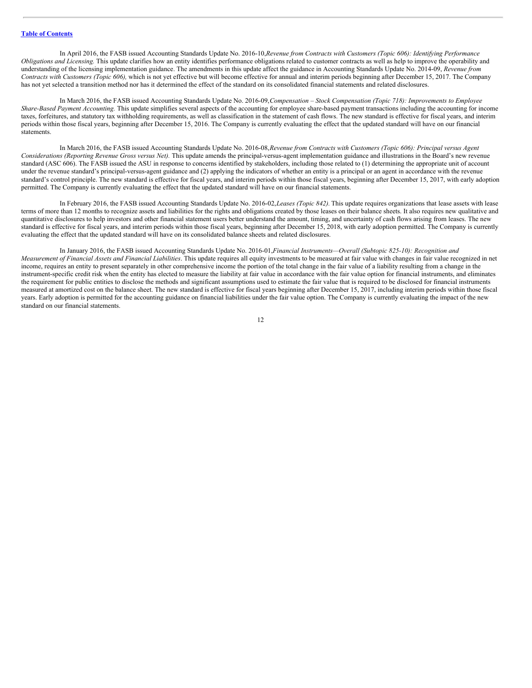In April 2016, the FASB issued Accounting Standards Update No. 2016-10,*Revenue from Contracts with Customers (Topic 606): Identifying Performance Obligations and Licensing.* This update clarifies how an entity identifies performance obligations related to customer contracts as well as help to improve the operability and understanding of the licensing implementation guidance. The amendments in this update affect the guidance in Accounting Standards Update No. 2014-09, *Revenue from Contracts with Customers (Topic 606),* which is not yet effective but will become effective for annual and interim periods beginning after December 15, 2017. The Company has not yet selected a transition method nor has it determined the effect of the standard on its consolidated financial statements and related disclosures.

In March 2016, the FASB issued Accounting Standards Update No. 2016-09,*Compensation – Stock Compensation (Topic 718): Improvements to Employee Share-Based Payment Accounting.* This update simplifies several aspects of the accounting for employee share-based payment transactions including the accounting for income taxes, forfeitures, and statutory tax withholding requirements, as well as classification in the statement of cash flows. The new standard is effective for fiscal years, and interim periods within those fiscal years, beginning after December 15, 2016. The Company is currently evaluating the effect that the updated standard will have on our financial statements.

In March 2016, the FASB issued Accounting Standards Update No. 2016-08,*Revenue from Contracts with Customers (Topic 606): Principal versus Agent Considerations (Reporting Revenue Gross versus Net).* This update amends the principal-versus-agent implementation guidance and illustrations in the Board's new revenue standard (ASC 606). The FASB issued the ASU in response to concerns identified by stakeholders, including those related to (1) determining the appropriate unit of account under the revenue standard's principal-versus-agent guidance and (2) applying the indicators of whether an entity is a principal or an agent in accordance with the revenue standard's control principle. The new standard is effective for fiscal years, and interim periods within those fiscal years, beginning after December 15, 2017, with early adoption permitted. The Company is currently evaluating the effect that the updated standard will have on our financial statements.

In February 2016, the FASB issued Accounting Standards Update No. 2016-02,*Leases (Topic 842).* This update requires organizations that lease assets with lease terms of more than 12 months to recognize assets and liabilities for the rights and obligations created by those leases on their balance sheets. It also requires new qualitative and quantitative disclosures to help investors and other financial statement users better understand the amount, timing, and uncertainty of cash flows arising from leases. The new standard is effective for fiscal years, and interim periods within those fiscal years, beginning after December 15, 2018, with early adoption permitted. The Company is currently evaluating the effect that the updated standard will have on its consolidated balance sheets and related disclosures.

In January 2016, the FASB issued Accounting Standards Update No. 2016-01,*Financial Instruments—Overall (Subtopic 825-10): Recognition and* Measurement of Financial Assets and Financial Liabilities. This update requires all equity investments to be measured at fair value with changes in fair value recognized in net income, requires an entity to present separately in other comprehensive income the portion of the total change in the fair value of a liability resulting from a change in the instrument-specific credit risk when the entity has elected to measure the liability at fair value in accordance with the fair value option for financial instruments, and eliminates the requirement for public entities to disclose the methods and significant assumptions used to estimate the fair value that is required to be disclosed for financial instruments measured at amortized cost on the balance sheet. The new standard is effective for fiscal years beginning after December 15, 2017, including interim periods within those fiscal years. Early adoption is permitted for the accounting guidance on financial liabilities under the fair value option. The Company is currently evaluating the impact of the new standard on our financial statements.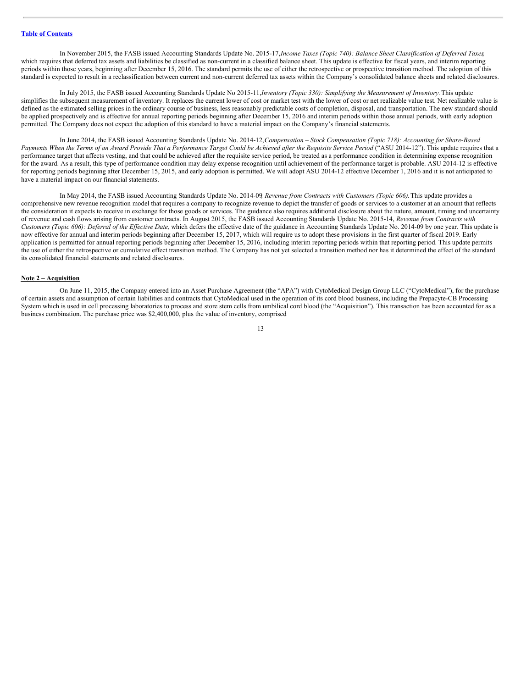In November 2015, the FASB issued Accounting Standards Update No. 2015-17,*Income Taxes (Topic 740): Balance Sheet Classification of Deferred Taxes*, which requires that deferred tax assets and liabilities be classified as non-current in a classified balance sheet. This update is effective for fiscal years, and interim reporting periods within those years, beginning after December 15, 2016. The standard permits the use of either the retrospective or prospective transition method. The adoption of this standard is expected to result in a reclassification between current and non-current deferred tax assets within the Company's consolidated balance sheets and related disclosures.

In July 2015, the FASB issued Accounting Standards Update No 2015-11,*Inventory (Topic 330): Simplifying the Measurement of Inventory.*This update simplifies the subsequent measurement of inventory. It replaces the current lower of cost or market test with the lower of cost or net realizable value test. Net realizable value is defined as the estimated selling prices in the ordinary course of business, less reasonably predictable costs of completion, disposal, and transportation. The new standard should be applied prospectively and is effective for annual reporting periods beginning after December 15, 2016 and interim periods within those annual periods, with early adoption permitted. The Company does not expect the adoption of this standard to have a material impact on the Company's financial statements.

In June 2014, the FASB issued Accounting Standards Update No. 2014-12,*Compensation – Stock Compensation (Topic 718): Accounting for Share-Based* Payments When the Terms of an Award Provide That a Performance Target Could be Achieved after the Requisite Service Period ("ASU 2014-12"). This update requires that a performance target that affects vesting, and that could be achieved after the requisite service period, be treated as a performance condition in determining expense recognition for the award. As a result, this type of performance condition may delay expense recognition until achievement of the performance target is probable. ASU 2014-12 is effective for reporting periods beginning after December 15, 2015, and early adoption is permitted. We will adopt ASU 2014-12 effective December 1, 2016 and it is not anticipated to have a material impact on our financial statements.

In May 2014, the FASB issued Accounting Standards Update No. 2014-09*, Revenue from Contracts with Customers (Topic 606).*This update provides a comprehensive new revenue recognition model that requires a company to recognize revenue to depict the transfer of goods or services to a customer at an amount that reflects the consideration it expects to receive in exchange for those goods or services. The guidance also requires additional disclosure about the nature, amount, timing and uncertainty of revenue and cash flows arising from customer contracts. In August 2015, the FASB issued Accounting Standards Update No. 2015-14, *Revenue from Contracts with* Customers (Topic 606): Deferral of the Effective Date, which defers the effective date of the guidance in Accounting Standards Update No. 2014-09 by one year. This update is now effective for annual and interim periods beginning after December 15, 2017, which will require us to adopt these provisions in the first quarter of fiscal 2019. Early application is permitted for annual reporting periods beginning after December 15, 2016, including interim reporting periods within that reporting period. This update permits the use of either the retrospective or cumulative effect transition method. The Company has not yet selected a transition method nor has it determined the effect of the standard its consolidated financial statements and related disclosures.

#### **Note 2 – Acquisition**

On June 11, 2015, the Company entered into an Asset Purchase Agreement (the "APA") with CytoMedical Design Group LLC ("CytoMedical"), for the purchase of certain assets and assumption of certain liabilities and contracts that CytoMedical used in the operation of its cord blood business, including the Prepacyte-CB Processing System which is used in cell processing laboratories to process and store stem cells from umbilical cord blood (the "Acquisition"). This transaction has been accounted for as a business combination. The purchase price was \$2,400,000, plus the value of inventory, comprised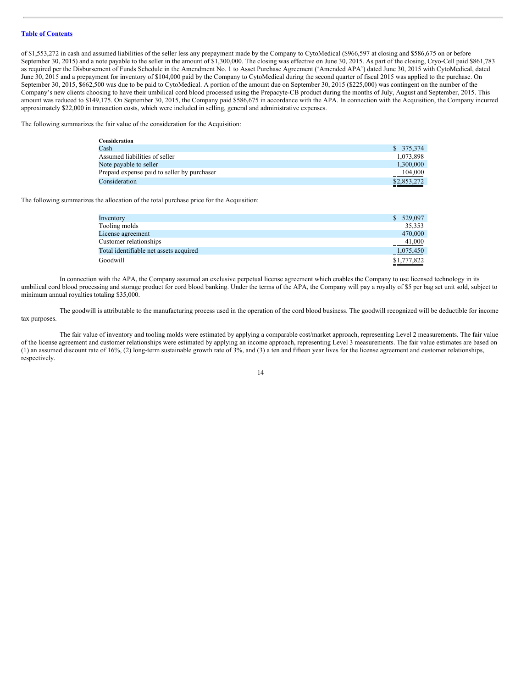#### **Table of [Contents](#page-1-0)**

of \$1,553,272 in cash and assumed liabilities of the seller less any prepayment made by the Company to CytoMedical (\$966,597 at closing and \$586,675 on or before September 30, 2015) and a note payable to the seller in the amount of \$1,300,000. The closing was effective on June 30, 2015. As part of the closing, Cryo-Cell paid \$861,783 as required per the Disbursement of Funds Schedule in the Amendment No. 1 to Asset Purchase Agreement ('Amended APA') dated June 30, 2015 with CytoMedical, dated June 30, 2015 and a prepayment for inventory of \$104,000 paid by the Company to CytoMedical during the second quarter of fiscal 2015 was applied to the purchase. On September 30, 2015, \$662,500 was due to be paid to CytoMedical. A portion of the amount due on September 30, 2015 (\$225,000) was contingent on the number of the Company's new clients choosing to have their umbilical cord blood processed using the Prepacyte-CB product during the months of July, August and September, 2015. This amount was reduced to \$149,175. On September 30, 2015, the Company paid \$586,675 in accordance with the APA. In connection with the Acquisition, the Company incurred approximately \$22,000 in transaction costs, which were included in selling, general and administrative expenses.

The following summarizes the fair value of the consideration for the Acquisition:

| \$ 375,374  |
|-------------|
| 1,073,898   |
| 1.300,000   |
| 104,000     |
| \$2,853,272 |
|             |

The following summarizes the allocation of the total purchase price for the Acquisition:

| Inventory                              | \$ 529,097  |
|----------------------------------------|-------------|
| Tooling molds                          | 35,353      |
| License agreement                      | 470,000     |
| Customer relationships                 | 41,000      |
| Total identifiable net assets acquired | 1,075,450   |
| Goodwill                               | \$1,777,822 |

In connection with the APA, the Company assumed an exclusive perpetual license agreement which enables the Company to use licensed technology in its umbilical cord blood processing and storage product for cord blood banking. Under the terms of the APA, the Company will pay a royalty of \$5 per bag set unit sold, subject to minimum annual royalties totaling \$35,000.

The goodwill is attributable to the manufacturing process used in the operation of the cord blood business. The goodwill recognized will be deductible for income tax purposes.

The fair value of inventory and tooling molds were estimated by applying a comparable cost/market approach, representing Level 2 measurements. The fair value of the license agreement and customer relationships were estimated by applying an income approach, representing Level 3 measurements. The fair value estimates are based on (1) an assumed discount rate of  $16\%, (2)$  long-term sustainable growth rate of  $3\%,$  and (3) a ten and fifteen year lives for the license agreement and customer relationships, respectively.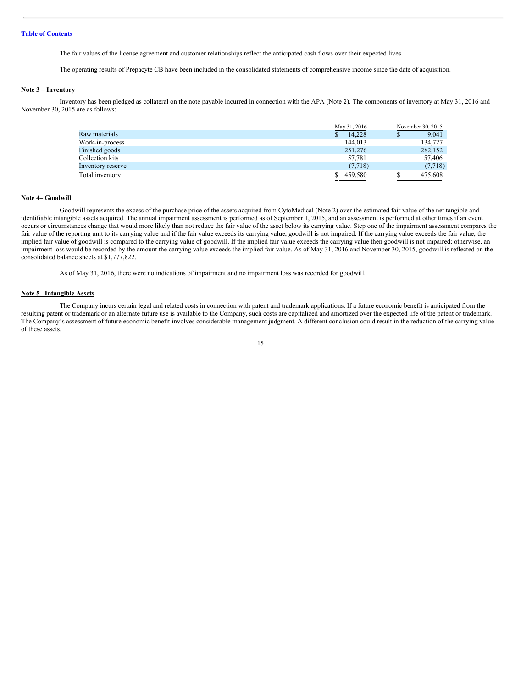The fair values of the license agreement and customer relationships reflect the anticipated cash flows over their expected lives.

The operating results of Prepacyte CB have been included in the consolidated statements of comprehensive income since the date of acquisition.

#### **Note 3 – Inventory**

Inventory has been pledged as collateral on the note payable incurred in connection with the APA (Note 2). The components of inventory at May 31, 2016 and November 30, 2015 are as follows:

|                   | May 31, 2016 | November 30, 2015 |
|-------------------|--------------|-------------------|
| Raw materials     | 14.228       | 9.041             |
| Work-in-process   | 144,013      | 134,727           |
| Finished goods    | 251,276      | 282,152           |
| Collection kits   | 57.781       | 57.406            |
| Inventory reserve | (7.718)      | (7,718)           |
| Total inventory   | 459,580      | 475,608           |

#### **Note 4– Goodwill**

Goodwill represents the excess of the purchase price of the assets acquired from CytoMedical (Note 2) over the estimated fair value of the net tangible and identifiable intangible assets acquired. The annual impairment assessment is performed as of September 1, 2015, and an assessment is performed at other times if an event occurs or circumstances change that would more likely than not reduce the fair value of the asset below its carrying value. Step one of the impairment assessment compares the fair value of the reporting unit to its carrying value and if the fair value exceeds its carrying value, goodwill is not impaired. If the carrying value exceeds the fair value, the implied fair value of goodwill is compared to the carrying value of goodwill. If the implied fair value exceeds the carrying value then goodwill is not impaired; otherwise, an impairment loss would be recorded by the amount the carrying value exceeds the implied fair value. As of May 31, 2016 and November 30, 2015, goodwill is reflected on the consolidated balance sheets at \$1,777,822.

As of May 31, 2016, there were no indications of impairment and no impairment loss was recorded for goodwill.

#### **Note 5– Intangible Assets**

The Company incurs certain legal and related costs in connection with patent and trademark applications. If a future economic benefit is anticipated from the resulting patent or trademark or an alternate future use is available to the Company, such costs are capitalized and amortized over the expected life of the patent or trademark. The Company's assessment of future economic benefit involves considerable management judgment. A different conclusion could result in the reduction of the carrying value of these assets.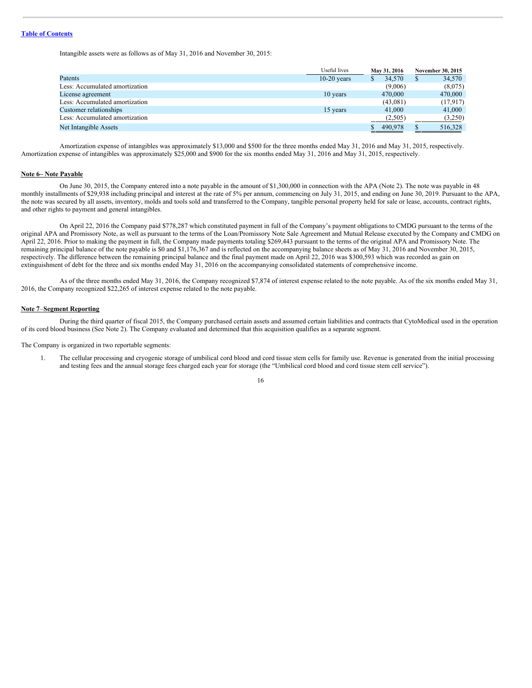Intangible assets were as follows as of May 31, 2016 and November 30, 2015:

|                                | Useful lives  | May 31, 2016 | <b>November 30, 2015</b> |
|--------------------------------|---------------|--------------|--------------------------|
| Patents                        | $10-20$ years | 34,570       | 34,570                   |
| Less: Accumulated amortization |               | (9,006)      | (8,075)                  |
| License agreement              | 10 years      | 470,000      | 470,000                  |
| Less: Accumulated amortization |               | (43,081)     | (17,917)                 |
| Customer relationships         | 15 years      | 41,000       | 41,000                   |
| Less: Accumulated amortization |               | (2,505)      | (3,250)                  |
| Net Intangible Assets          |               | 490,978      | 516,328                  |
|                                |               |              |                          |

Amortization expense of intangibles was approximately \$13,000 and \$500 for the three months ended May 31, 2016 and May 31, 2015, respectively. Amortization expense of intangibles was approximately \$25,000 and \$900 for the six months ended May 31, 2016 and May 31, 2015, respectively.

#### **Note 6– Note Payable**

On June 30, 2015, the Company entered into a note payable in the amount of \$1,300,000 in connection with the APA (Note 2). The note was payable in 48 monthly installments of \$29,938 including principal and interest at the rate of 5% per annum, commencing on July 31, 2015, and ending on June 30, 2019. Pursuant to the APA, the note was secured by all assets, inventory, molds and tools sold and transferred to the Company, tangible personal property held for sale or lease, accounts, contract rights, and other rights to payment and general intangibles.

On April 22, 2016 the Company paid \$778,287 which constituted payment in full of the Company's payment obligations to CMDG pursuant to the terms of the original APA and Promissory Note, as well as pursuant to the terms of the Loan/Promissory Note Sale Agreement and Mutual Release executed by the Company and CMDG on April 22, 2016. Prior to making the payment in full, the Company made payments totaling \$269,443 pursuant to the terms of the original APA and Promissory Note. The remaining principal balance of the note payable is \$0 and \$1,176,367 and is reflected on the accompanying balance sheets as of May 31, 2016 and November 30, 2015, respectively. The difference between the remaining principal balance and the final payment made on April 22, 2016 was \$300,593 which was recorded as gain on extinguishment of debt for the three and six months ended May 31, 2016 on the accompanying consolidated statements of comprehensive income.

As of the three months ended May 31, 2016, the Company recognized \$7,874 of interest expense related to the note payable. As of the six months ended May 31, 2016, the Company recognized \$22,265 of interest expense related to the note payable.

#### **Note 7**–**Segment Reporting**

During the third quarter of fiscal 2015, the Company purchased certain assets and assumed certain liabilities and contracts that CytoMedical used in the operation of its cord blood business (See Note 2). The Company evaluated and determined that this acquisition qualifies as a separate segment.

The Company is organized in two reportable segments:

1. The cellular processing and cryogenic storage of umbilical cord blood and cord tissue stem cells for family use. Revenue is generated from the initial processing and testing fees and the annual storage fees charged each year for storage (the "Umbilical cord blood and cord tissue stem cell service").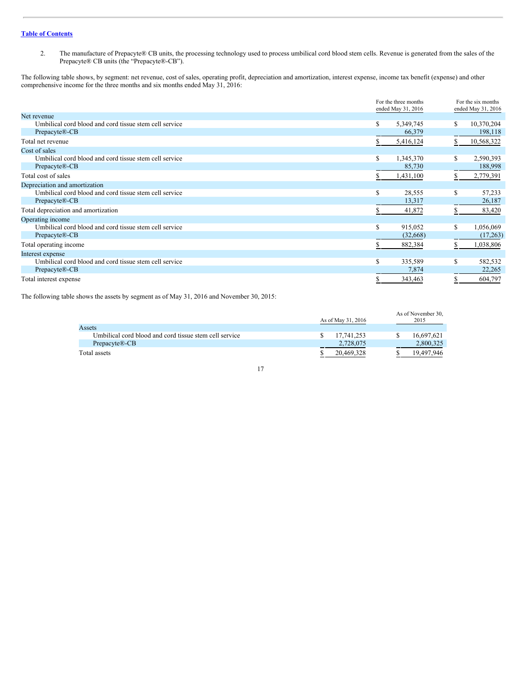## **Table of [Contents](#page-1-0)**

2. The manufacture of Prepacyte® CB units, the processing technology used to process umbilical cord blood stem cells. Revenue is generated from the sales of the Prepacyte® CB units (the "Prepacyte®-CB").

The following table shows, by segment: net revenue, cost of sales, operating profit, depreciation and amortization, interest expense, income tax benefit (expense) and other comprehensive income for the three months and six months ended May 31, 2016:

|                                                        |    | For the three months<br>ended May 31, 2016 |    | For the six months<br>ended May 31, 2016 |
|--------------------------------------------------------|----|--------------------------------------------|----|------------------------------------------|
| Net revenue                                            |    |                                            |    |                                          |
| Umbilical cord blood and cord tissue stem cell service | S. | 5,349,745                                  | S  | 10,370,204                               |
| Prepacyte®-CB                                          |    | 66,379                                     |    | 198,118                                  |
| Total net revenue                                      |    | 5,416,124                                  |    | 10,568,322                               |
| Cost of sales                                          |    |                                            |    |                                          |
| Umbilical cord blood and cord tissue stem cell service | \$ | 1,345,370                                  | \$ | 2,590,393                                |
| Prepacyte®-CB                                          |    | 85,730                                     |    | 188,998                                  |
| Total cost of sales                                    |    | 1,431,100                                  |    | 2,779,391                                |
| Depreciation and amortization                          |    |                                            |    |                                          |
| Umbilical cord blood and cord tissue stem cell service | \$ | 28,555                                     | \$ | 57,233                                   |
| Prepacyte®-CB                                          |    | 13,317                                     |    | 26,187                                   |
| Total depreciation and amortization                    |    | 41,872                                     |    | 83,420                                   |
| Operating income                                       |    |                                            |    |                                          |
| Umbilical cord blood and cord tissue stem cell service | \$ | 915,052                                    | \$ | 1,056,069                                |
| Prepacyte®-CB                                          |    | (32,668)                                   |    | (17,263)                                 |
| Total operating income                                 |    | 882,384                                    |    | 1,038,806                                |
| Interest expense                                       |    |                                            |    |                                          |
| Umbilical cord blood and cord tissue stem cell service | \$ | 335,589                                    | \$ | 582,532                                  |
| Prepacyte <sup>®</sup> -CB                             |    | 7,874                                      |    | 22,265                                   |
| Total interest expense                                 |    | 343,463                                    |    | 604,797                                  |

The following table shows the assets by segment as of May 31, 2016 and November 30, 2015:

|                                                        | As of May 31, 2016 | As of November 30,<br>2015 |
|--------------------------------------------------------|--------------------|----------------------------|
| Assets                                                 |                    |                            |
| Umbilical cord blood and cord tissue stem cell service | 17.741.253         | 16.697.621                 |
| $Prepace@$ -CB                                         | 2,728,075          | 2,800,325                  |
| Total assets                                           | 20.469.328         | 19.497.946                 |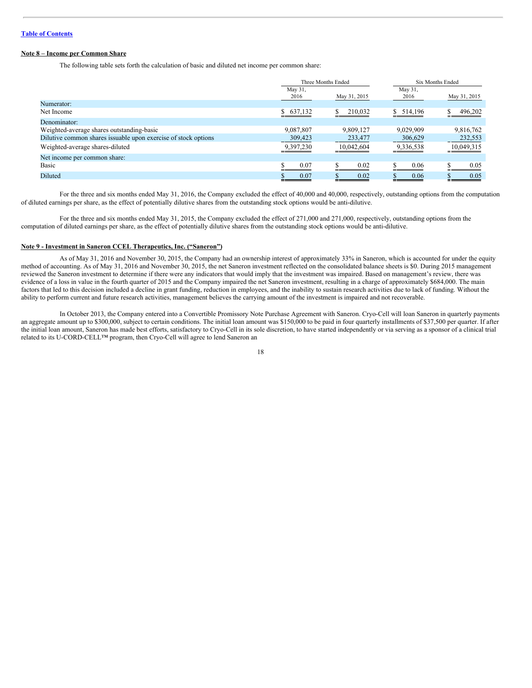#### **Table of [Contents](#page-1-0)**

#### **Note 8 – Income per Common Share**

The following table sets forth the calculation of basic and diluted net income per common share:

|                                                                | Three Months Ended |              |                 | Six Months Ended |
|----------------------------------------------------------------|--------------------|--------------|-----------------|------------------|
|                                                                | May 31,<br>2016    | May 31, 2015 | May 31,<br>2016 | May 31, 2015     |
| Numerator:                                                     |                    |              |                 |                  |
| Net Income                                                     | \$637,132          | 210,032      | \$514,196       | 496,202          |
| Denominator:                                                   |                    |              |                 |                  |
| Weighted-average shares outstanding-basic                      | 9.087.807          | 9.809.127    | 9,029,909       | 9,816,762        |
| Dilutive common shares issuable upon exercise of stock options | 309,423            | 233,477      | 306,629         | 232,553          |
| Weighted-average shares-diluted                                | 9,397,230          | 10.042.604   | 9,336,538       | 10,049,315       |
| Net income per common share:                                   |                    |              |                 |                  |
| Basic                                                          | 0.07               | 0.02         | 0.06            | 0.05             |
| Diluted                                                        | 0.07               | 0.02         | 0.06            | 0.05             |

For the three and six months ended May 31, 2016, the Company excluded the effect of 40,000 and 40,000, respectively, outstanding options from the computation of diluted earnings per share, as the effect of potentially dilutive shares from the outstanding stock options would be anti-dilutive.

For the three and six months ended May 31, 2015, the Company excluded the effect of 271,000 and 271,000, respectively, outstanding options from the computation of diluted earnings per share, as the effect of potentially dilutive shares from the outstanding stock options would be anti-dilutive.

#### **Note 9 - Investment in Saneron CCEL Therapeutics, Inc. ("Saneron")**

As of May 31, 2016 and November 30, 2015, the Company had an ownership interest of approximately 33% in Saneron, which is accounted for under the equity method of accounting. As of May 31, 2016 and November 30, 2015, the net Saneron investment reflected on the consolidated balance sheets is \$0. During 2015 management reviewed the Saneron investment to determine if there were any indicators that would imply that the investment was impaired. Based on management's review, there was evidence of a loss in value in the fourth quarter of 2015 and the Company impaired the net Saneron investment, resulting in a charge of approximately \$684,000. The main factors that led to this decision included a decline in grant funding, reduction in employees, and the inability to sustain research activities due to lack of funding. Without the ability to perform current and future research activities, management believes the carrying amount of the investment is impaired and not recoverable.

In October 2013, the Company entered into a Convertible Promissory Note Purchase Agreement with Saneron. Cryo-Cell will loan Saneron in quarterly payments an aggregate amount up to \$300,000, subject to certain conditions. The initial loan amount was \$150,000 to be paid in four quarterly installments of \$37,500 per quarter. If after the initial loan amount, Saneron has made best efforts, satisfactory to Cryo-Cell in its sole discretion, to have started independently or via serving as a sponsor of a clinical trial related to its U-CORD-CELL™ program, then Cryo-Cell will agree to lend Saneron an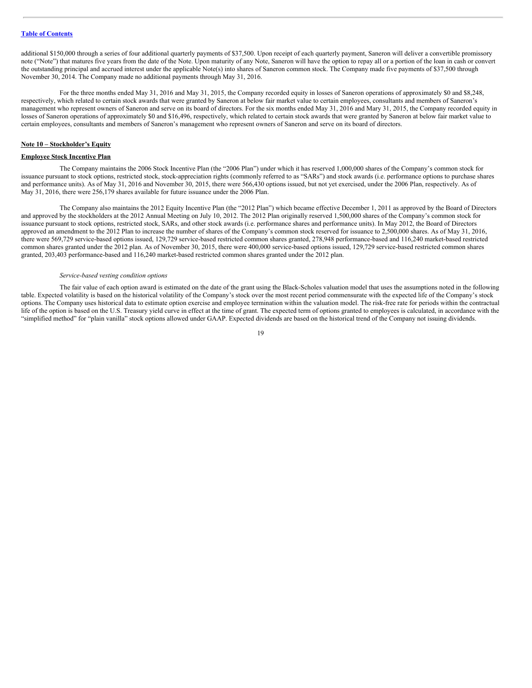additional \$150,000 through a series of four additional quarterly payments of \$37,500. Upon receipt of each quarterly payment, Saneron will deliver a convertible promissory note ("Note") that matures five years from the date of the Note. Upon maturity of any Note, Saneron will have the option to repay all or a portion of the loan in cash or convert the outstanding principal and accrued interest under the applicable Note(s) into shares of Saneron common stock. The Company made five payments of \$37,500 through November 30, 2014. The Company made no additional payments through May 31, 2016.

For the three months ended May 31, 2016 and May 31, 2015, the Company recorded equity in losses of Saneron operations of approximately \$0 and \$8,248, respectively, which related to certain stock awards that were granted by Saneron at below fair market value to certain employees, consultants and members of Saneron's management who represent owners of Saneron and serve on its board of directors. For the six months ended May 31, 2016 and Mary 31, 2015, the Company recorded equity in losses of Saneron operations of approximately \$0 and \$16,496, respectively, which related to certain stock awards that were granted by Saneron at below fair market value to certain employees, consultants and members of Saneron's management who represent owners of Saneron and serve on its board of directors.

#### **Note 10 – Stockholder's Equity**

#### **Employee Stock Incentive Plan**

The Company maintains the 2006 Stock Incentive Plan (the "2006 Plan") under which it has reserved 1,000,000 shares of the Company's common stock for issuance pursuant to stock options, restricted stock, stock-appreciation rights (commonly referred to as "SARs") and stock awards (i.e. performance options to purchase shares and performance units). As of May 31, 2016 and November 30, 2015, there were 566,430 options issued, but not yet exercised, under the 2006 Plan, respectively. As of May 31, 2016, there were 256,179 shares available for future issuance under the 2006 Plan.

The Company also maintains the 2012 Equity Incentive Plan (the "2012 Plan") which became effective December 1, 2011 as approved by the Board of Directors and approved by the stockholders at the 2012 Annual Meeting on July 10, 2012. The 2012 Plan originally reserved 1,500,000 shares of the Company's common stock for issuance pursuant to stock options, restricted stock, SARs, and other stock awards (i.e. performance shares and performance units). In May 2012, the Board of Directors approved an amendment to the 2012 Plan to increase the number of shares of the Company's common stock reserved for issuance to 2,500,000 shares. As of May 31, 2016, there were 569,729 service-based options issued, 129,729 service-based restricted common shares granted, 278,948 performance-based and 116,240 market-based restricted common shares granted under the 2012 plan. As of November 30, 2015, there were 400,000 service-based options issued, 129,729 service-based restricted common shares granted, 203,403 performance-based and 116,240 market-based restricted common shares granted under the 2012 plan.

#### *Service-based vesting condition options*

The fair value of each option award is estimated on the date of the grant using the Black-Scholes valuation model that uses the assumptions noted in the following table. Expected volatility is based on the historical volatility of the Company's stock over the most recent period commensurate with the expected life of the Company's stock options. The Company uses historical data to estimate option exercise and employee termination within the valuation model. The risk-free rate for periods within the contractual life of the option is based on the U.S. Treasury yield curve in effect at the time of grant. The expected term of options granted to employees is calculated, in accordance with the "simplified method" for "plain vanilla" stock options allowed under GAAP. Expected dividends are based on the historical trend of the Company not issuing dividends.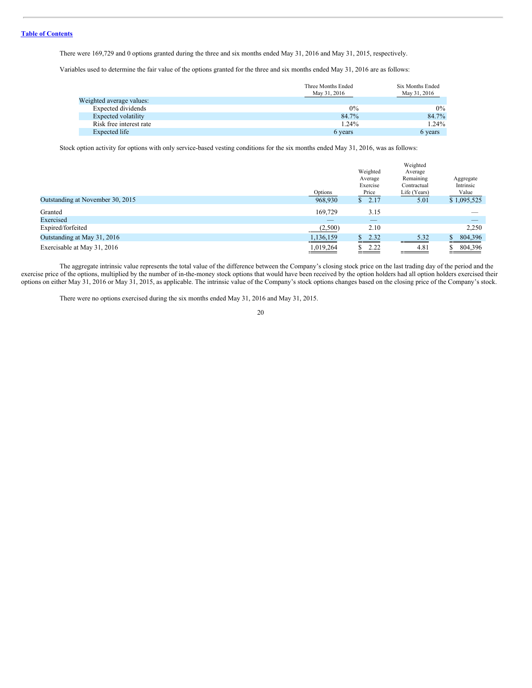There were 169,729 and 0 options granted during the three and six months ended May 31, 2016 and May 31, 2015, respectively.

Variables used to determine the fair value of the options granted for the three and six months ended May 31, 2016 are as follows:

|                          | Three Months Ended<br>May 31, 2016 | Six Months Ended<br>May 31, 2016 |
|--------------------------|------------------------------------|----------------------------------|
| Weighted average values: |                                    |                                  |
| Expected dividends       | $0\%$                              | $0\%$                            |
| Expected volatility      | 84.7%                              | 84.7%                            |
| Risk free interest rate  | 1.24%                              | $1.24\%$                         |
| Expected life            | 6 years                            | 6 years                          |

Stock option activity for options with only service-based vesting conditions for the six months ended May 31, 2016, was as follows:

|                                  | Options   | Weighted<br>Average<br>Exercise<br>Price | Weighted<br>Average<br>Remaining<br>Contractual<br>Life (Years) | Aggregate<br>Intrinsic<br>Value |
|----------------------------------|-----------|------------------------------------------|-----------------------------------------------------------------|---------------------------------|
| Outstanding at November 30, 2015 | 968,930   | \$2.17                                   | 5.01                                                            | \$1,095,525                     |
| Granted                          | 169,729   | 3.15                                     |                                                                 |                                 |
| Exercised                        |           | _                                        |                                                                 |                                 |
| Expired/forfeited                | (2,500)   | 2.10                                     |                                                                 | 2,250                           |
| Outstanding at May 31, 2016      | 1,136,159 | \$2.32                                   | 5.32                                                            | 804,396                         |
| Exercisable at May 31, 2016      | 1,019,264 | 2.22<br>____                             | 4.81<br>_______                                                 | 804,396                         |

The aggregate intrinsic value represents the total value of the difference between the Company's closing stock price on the last trading day of the period and the exercise price of the options, multiplied by the number of in-the-money stock options that would have been received by the option holders had all option holders exercised their options on either May 31, 2016 or May 31, 2015, as applicable. The intrinsic value of the Company's stock options changes based on the closing price of the Company's stock.

There were no options exercised during the six months ended May 31, 2016 and May 31, 2015.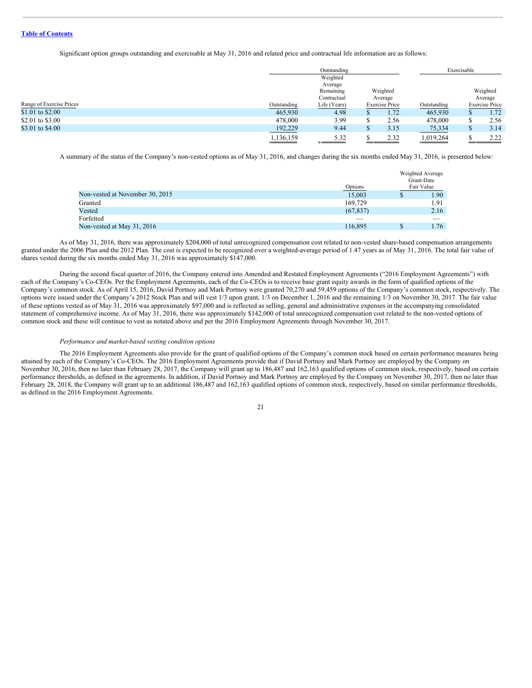Significant option groups outstanding and exercisable at May 31, 2016 and related price and contractual life information are as follows:

|                          |             | Outstanding    |                       |             | Exercisable |                       |
|--------------------------|-------------|----------------|-----------------------|-------------|-------------|-----------------------|
|                          |             | Weighted       |                       |             |             |                       |
|                          |             | Average        |                       |             |             |                       |
|                          |             | Remaining      | Weighted              |             |             | Weighted              |
|                          |             | Contractual    | Average               |             |             | Average               |
| Range of Exercise Prices | Outstanding | Life (Years)   | <b>Exercise Price</b> | Outstanding |             | <b>Exercise Price</b> |
| \$1.01 to \$2.00         | 465,930     | 4.98           | 1.72                  | 465,930     |             | 1.72                  |
| \$2.01 to \$3.00         | 478,000     | 3.99           | 2.56                  | 478,000     |             | 2.56                  |
| \$3.01 to \$4.00         | 192,229     | 9.44           | 3.15                  | 75,334      | a           | 3.14                  |
|                          | 1,136,159   | 5.32<br>====== | 2.32                  | 1,019,264   |             | 2.22                  |

A summary of the status of the Company's non-vested options as of May 31, 2016, and changes during the six months ended May 31, 2016, is presented below:

|                                 | Options   | Weighted Average<br>Grant-Date<br>Fair Value |
|---------------------------------|-----------|----------------------------------------------|
| Non-vested at November 30, 2015 | 15.003    | 1.90                                         |
| Granted                         | 169,729   | 1.91                                         |
| Vested                          | (67, 837) | 2.16                                         |
| Forfeited                       |           |                                              |
| Non-vested at May 31, 2016      | 116,895   | 1.76                                         |

As of May 31, 2016, there was approximately \$204,000 of total unrecognized compensation cost related to non-vested share-based compensation arrangements granted under the 2006 Plan and the 2012 Plan. The cost is expected to be recognized over a weighted-average period of 1.47 years as of May 31, 2016. The total fair value of shares vested during the six months ended May 31, 2016 was approximately \$147,000.

During the second fiscal quarter of 2016, the Company entered into Amended and Restated Employment Agreements ("2016 Employment Agreements") with each of the Company's Co-CEOs. Per the Employment Agreements, each of the Co-CEOs is to receive base grant equity awards in the form of qualified options of the Company's common stock. As of April 15, 2016, David Portnoy and Mark Portnoy were granted 70,270 and 59,459 options of the Company's common stock, respectively. The options were issued under the Company's 2012 Stock Plan and will vest 1/3 upon grant, 1/3 on December 1, 2016 and the remaining 1/3 on November 30, 2017. The fair value of these options vested as of May  $31, 2016$  was approximately \$97,000 and is reflected as selling, general and administrative expenses in the accompanying consolidated statement of comprehensive income. As of May 31, 2016, there was approximately \$142,000 of total unrecognized compensation cost related to the non-vested options of common stock and these will continue to vest as notated above and per the 2016 Employment Agreements through November 30, 2017.

#### *Performance and market-based vesting condition options*

The 2016 Employment Agreements also provide for the grant of qualified options of the Company's common stock based on certain performance measures being attained by each of the Company's Co-CEOs. The 2016 Employment Agreements provide that if David Portnoy and Mark Portnoy are employed by the Company on November 30, 2016, then no later than February 28, 2017, the Company will grant up to 186,487 and 162,163 qualified options of common stock, respectively, based on certain performance thresholds, as defined in the agreements. In addition, if David Portnoy and Mark Portnoy are employed by the Company on November 30, 2017, then no later than February 28, 2018, the Company will grant up to an additional 186,487 and 162,163 qualified options of common stock, respectively, based on similar performance thresholds, as defined in the 2016 Employment Agreements.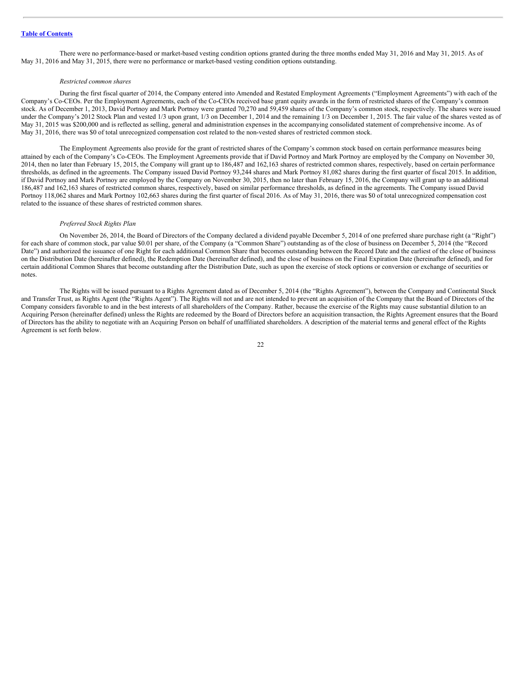There were no performance-based or market-based vesting condition options granted during the three months ended May 31, 2016 and May 31, 2015. As of May 31, 2016 and May 31, 2015, there were no performance or market-based vesting condition options outstanding.

#### *Restricted common shares*

During the first fiscal quarter of 2014, the Company entered into Amended and Restated Employment Agreements ("Employment Agreements") with each of the Company's Co-CEOs. Per the Employment Agreements, each of the Co-CEOs received base grant equity awards in the form of restricted shares of the Company's common stock. As of December 1, 2013, David Portnoy and Mark Portnoy were granted 70,270 and 59,459 shares of the Company's common stock, respectively. The shares were issued under the Company's 2012 Stock Plan and vested 1/3 upon grant, 1/3 on December 1, 2014 and the remaining 1/3 on December 1, 2015. The fair value of the shares vested as of May 31, 2015 was \$200,000 and is reflected as selling, general and administration expenses in the accompanying consolidated statement of comprehensive income. As of May 31, 2016, there was \$0 of total unrecognized compensation cost related to the non-vested shares of restricted common stock.

The Employment Agreements also provide for the grant of restricted shares of the Company's common stock based on certain performance measures being attained by each of the Company's Co-CEOs. The Employment Agreements provide that if David Portnoy and Mark Portnoy are employed by the Company on November 30, 2014, then no later than February 15, 2015, the Company will grant up to 186,487 and 162,163 shares of restricted common shares, respectively, based on certain performance thresholds, as defined in the agreements. The Company issued David Portnoy 93,244 shares and Mark Portnoy 81,082 shares during the first quarter of fiscal 2015. In addition, if David Portnoy and Mark Portnoy are employed by the Company on November 30, 2015, then no later than February 15, 2016, the Company will grant up to an additional 186,487 and 162,163 shares of restricted common shares, respectively, based on similar performance thresholds, as defined in the agreements. The Company issued David Portnoy 118,062 shares and Mark Portnoy 102,663 shares during the first quarter of fiscal 2016. As of May 31, 2016, there was \$0 of total unrecognized compensation cost related to the issuance of these shares of restricted common shares.

#### *Preferred Stock Rights Plan*

On November 26, 2014, the Board of Directors of the Company declared a dividend payable December 5, 2014 of one preferred share purchase right (a "Right") for each share of common stock, par value \$0.01 per share, of the Company (a "Common Share") outstanding as of the close of business on December 5, 2014 (the "Record Date") and authorized the issuance of one Right for each additional Common Share that becomes outstanding between the Record Date and the earliest of the close of business on the Distribution Date (hereinafter defined), the Redemption Date (hereinafter defined), and the close of business on the Final Expiration Date (hereinafter defined), and for certain additional Common Shares that become outstanding after the Distribution Date, such as upon the exercise of stock options or conversion or exchange of securities or notes.

The Rights will be issued pursuant to a Rights Agreement dated as of December 5, 2014 (the "Rights Agreement"), between the Company and Continental Stock and Transfer Trust, as Rights Agent (the "Rights Agent"). The Rights will not and are not intended to prevent an acquisition of the Company that the Board of Directors of the Company considers favorable to and in the best interests of all shareholders of the Company. Rather, because the exercise of the Rights may cause substantial dilution to an Acquiring Person (hereinafter defined) unless the Rights are redeemed by the Board of Directors before an acquisition transaction, the Rights Agreement ensures that the Board of Directors has the ability to negotiate with an Acquiring Person on behalf of unaffiliated shareholders. A description of the material terms and general effect of the Rights Agreement is set forth below.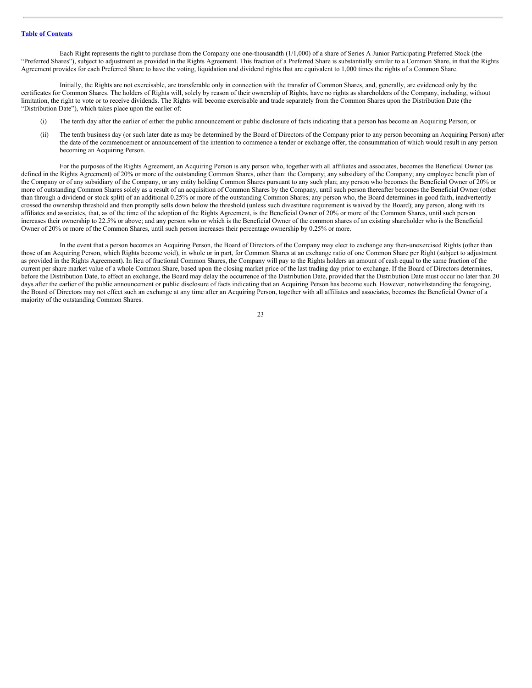Each Right represents the right to purchase from the Company one one-thousandth (1/1,000) of a share of Series A Junior Participating Preferred Stock (the "Preferred Shares"), subject to adjustment as provided in the Rights Agreement. This fraction of a Preferred Share is substantially similar to a Common Share, in that the Rights Agreement provides for each Preferred Share to have the voting, liquidation and dividend rights that are equivalent to 1,000 times the rights of a Common Share.

Initially, the Rights are not exercisable, are transferable only in connection with the transfer of Common Shares, and, generally, are evidenced only by the certificates for Common Shares. The holders of Rights will, solely by reason of their ownership of Rights, have no rights as shareholders of the Company, including, without limitation, the right to vote or to receive dividends. The Rights will become exercisable and trade separately from the Common Shares upon the Distribution Date (the "Distribution Date"), which takes place upon the earlier of:

- The tenth day after the earlier of either the public announcement or public disclosure of facts indicating that a person has become an Acquiring Person; or
- (ii) The tenth business day (or such later date as may be determined by the Board of Directors of the Company prior to any person becoming an Acquiring Person) after the date of the commencement or announcement of the intention to commence a tender or exchange offer, the consummation of which would result in any person becoming an Acquiring Person.

For the purposes of the Rights Agreement, an Acquiring Person is any person who, together with all affiliates and associates, becomes the Beneficial Owner (as defined in the Rights Agreement) of 20% or more of the outstanding Common Shares, other than: the Company; any subsidiary of the Company; any employee benefit plan of the Company or of any subsidiary of the Company, or any entity holding Common Shares pursuant to any such plan; any person who becomes the Beneficial Owner of 20% or more of outstanding Common Shares solely as a result of an acquisition of Common Shares by the Company, until such person thereafter becomes the Beneficial Owner (other than through a dividend or stock split) of an additional 0.25% or more of the outstanding Common Shares; any person who, the Board determines in good faith, inadvertently crossed the ownership threshold and then promptly sells down below the threshold (unless such divestiture requirement is waived by the Board); any person, along with its affiliates and associates, that, as of the time of the adoption of the Rights Agreement, is the Beneficial Owner of 20% or more of the Common Shares, until such person increases their ownership to 22.5% or above; and any person who or which is the Beneficial Owner of the common shares of an existing shareholder who is the Beneficial Owner of 20% or more of the Common Shares, until such person increases their percentage ownership by 0.25% or more.

In the event that a person becomes an Acquiring Person, the Board of Directors of the Company may elect to exchange any then-unexercised Rights (other than those of an Acquiring Person, which Rights become void), in whole or in part, for Common Shares at an exchange ratio of one Common Share per Right (subject to adjustment as provided in the Rights Agreement). In lieu of fractional Common Shares, the Company will pay to the Rights holders an amount of cash equal to the same fraction of the current per share market value of a whole Common Share, based upon the closing market price of the last trading day prior to exchange. If the Board of Directors determines, before the Distribution Date, to effect an exchange, the Board may delay the occurrence of the Distribution Date, provided that the Distribution Date must occur no later than 20 days after the earlier of the public announcement or public disclosure of facts indicating that an Acquiring Person has become such. However, notwithstanding the foregoing, the Board of Directors may not effect such an exchange at any time after an Acquiring Person, together with all affiliates and associates, becomes the Beneficial Owner of a majority of the outstanding Common Shares.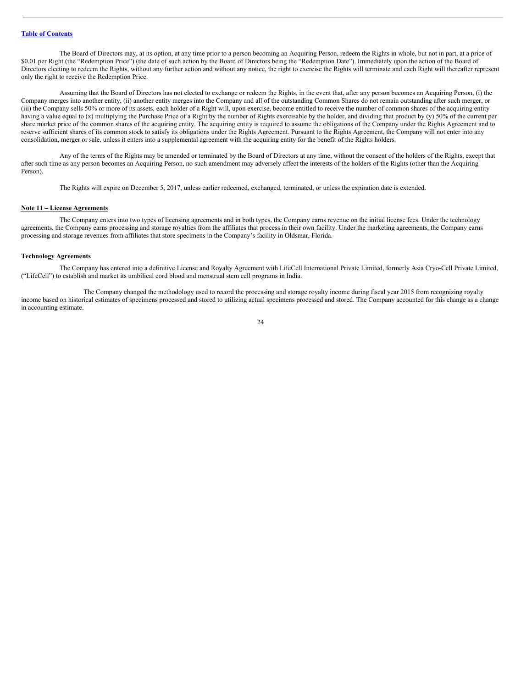The Board of Directors may, at its option, at any time prior to a person becoming an Acquiring Person, redeem the Rights in whole, but not in part, at a price of \$0.01 per Right (the "Redemption Price") (the date of such action by the Board of Directors being the "Redemption Date"). Immediately upon the action of the Board of Directors electing to redeem the Rights, without any further action and without any notice, the right to exercise the Rights will terminate and each Right will thereafter represent only the right to receive the Redemption Price.

Assuming that the Board of Directors has not elected to exchange or redeem the Rights, in the event that, after any person becomes an Acquiring Person, (i) the Company merges into another entity, (ii) another entity merges into the Company and all of the outstanding Common Shares do not remain outstanding after such merger, or (iii) the Company sells 50% or more of its assets, each holder of a Right will, upon exercise, become entitled to receive the number of common shares of the acquiring entity having a value equal to (x) multiplying the Purchase Price of a Right by the number of Rights exercisable by the holder, and dividing that product by (y) 50% of the current per share market price of the common shares of the acquiring entity. The acquiring entity is required to assume the obligations of the Company under the Rights Agreement and to reserve sufficient shares of its common stock to satisfy its obligations under the Rights Agreement. Pursuant to the Rights Agreement, the Company will not enter into any consolidation, merger or sale, unless it enters into a supplemental agreement with the acquiring entity for the benefit of the Rights holders.

Any of the terms of the Rights may be amended or terminated by the Board of Directors at any time, without the consent of the holders of the Rights, except that after such time as any person becomes an Acquiring Person, no such amendment may adversely affect the interests of the holders of the Rights (other than the Acquiring Person).

The Rights will expire on December 5, 2017, unless earlier redeemed, exchanged, terminated, or unless the expiration date is extended.

#### **Note 11 – License Agreements**

The Company enters into two types of licensing agreements and in both types, the Company earns revenue on the initial license fees. Under the technology agreements, the Company earns processing and storage royalties from the affiliates that process in their own facility. Under the marketing agreements, the Company earns processing and storage revenues from affiliates that store specimens in the Company's facility in Oldsmar, Florida.

#### **Technology Agreements**

The Company has entered into a definitive License and Royalty Agreement with LifeCell International Private Limited, formerly Asia Cryo-Cell Private Limited, ("LifeCell") to establish and market its umbilical cord blood and menstrual stem cell programs in India.

The Company changed the methodology used to record the processing and storage royalty income during fiscal year 2015 from recognizing royalty income based on historical estimates of specimens processed and stored to utilizing actual specimens processed and stored. The Company accounted for this change as a change in accounting estimate.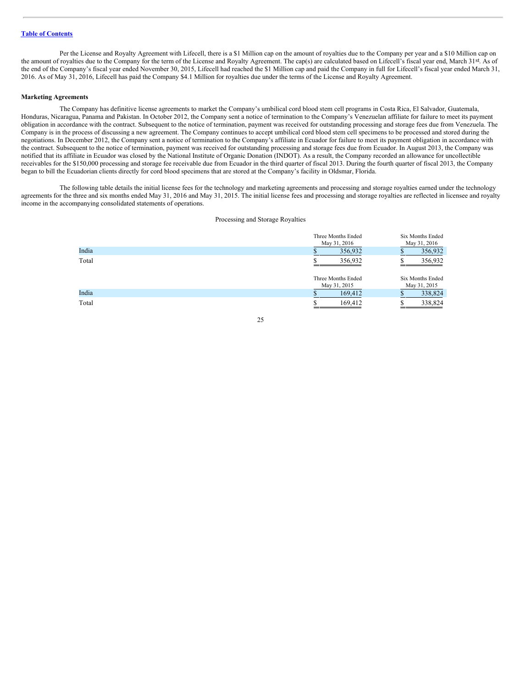Per the License and Royalty Agreement with Lifecell, there is a \$1 Million cap on the amount of royalties due to the Company per year and a \$10 Million cap on the amount of royalties due to the Company for the term of the License and Royalty Agreement. The cap(s) are calculated based on Lifecell's fiscal year end, March 31st. As of the end of the Company's fiscal year ended November 30, 2015, Lifecell had reached the \$1 Million cap and paid the Company in full for Lifecell's fiscal year ended March 31, 2016. As of May 31, 2016, Lifecell has paid the Company \$4.1 Million for royalties due under the terms of the License and Royalty Agreement.

#### **Marketing Agreements**

The Company has definitive license agreements to market the Company's umbilical cord blood stem cell programs in Costa Rica, El Salvador, Guatemala, Honduras, Nicaragua, Panama and Pakistan. In October 2012, the Company sent a notice of termination to the Company's Venezuelan affiliate for failure to meet its payment obligation in accordance with the contract. Subsequent to the notice of termination, payment was received for outstanding processing and storage fees due from Venezuela. The Company is in the process of discussing a new agreement. The Company continues to accept umbilical cord blood stem cell specimens to be processed and stored during the negotiations. In December 2012, the Company sent a notice of termination to the Company's affiliate in Ecuador for failure to meet its payment obligation in accordance with the contract. Subsequent to the notice of termination, payment was received for outstanding processing and storage fees due from Ecuador. In August 2013, the Company was notified that its affiliate in Ecuador was closed by the National Institute of Organic Donation (INDOT). As a result, the Company recorded an allowance for uncollectible receivables for the \$150,000 processing and storage fee receivable due from Ecuador in the third quarter of fiscal 2013. During the fourth quarter of fiscal 2013, the Company began to bill the Ecuadorian clients directly for cord blood specimens that are stored at the Company's facility in Oldsmar, Florida.

The following table details the initial license fees for the technology and marketing agreements and processing and storage royalties earned under the technology agreements for the three and six months ended May 31, 2016 and May 31, 2015. The initial license fees and processing and storage royalties are reflected in licensee and royalty income in the accompanying consolidated statements of operations.

#### Processing and Storage Royalties

|       | Three Months Ended<br>May 31, 2016 | Six Months Ended<br>May 31, 2016 |
|-------|------------------------------------|----------------------------------|
| India | 356,932                            | 356,932                          |
| Total | 356,932                            | 356,932                          |
|       | Three Months Ended<br>May 31, 2015 | Six Months Ended<br>May 31, 2015 |
| India | 169.412                            | 338,824                          |
| Total | 169.412                            | 338,824                          |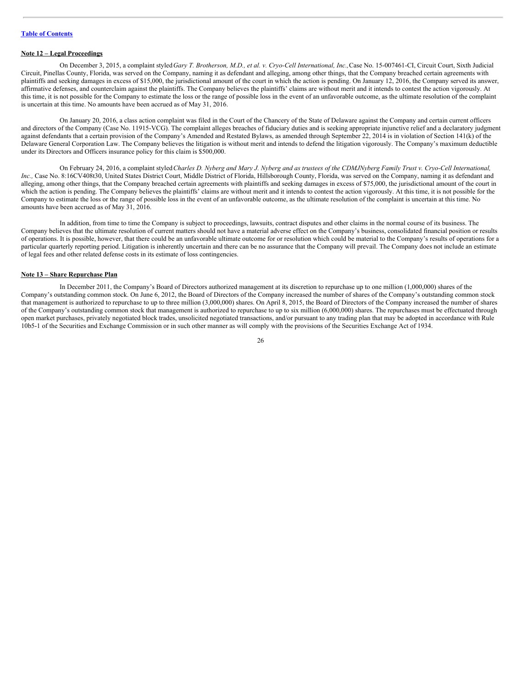#### **Note 12 – Legal Proceedings**

On December 3, 2015, a complaint styled Gary T. Brotherson, M.D., et al. v. Cryo-Cell International, Inc., Case No. 15-007461-CI, Circuit Court, Sixth Judicial Circuit, Pinellas County, Florida, was served on the Company, naming it as defendant and alleging, among other things, that the Company breached certain agreements with plaintiffs and seeking damages in excess of \$15,000, the jurisdictional amount of the court in which the action is pending. On January 12, 2016, the Company served its answer, affirmative defenses, and counterclaim against the plaintiffs. The Company believes the plaintiffs' claims are without merit and it intends to contest the action vigorously. At this time, it is not possible for the Company to estimate the loss or the range of possible loss in the event of an unfavorable outcome, as the ultimate resolution of the complaint is uncertain at this time. No amounts have been accrued as of May 31, 2016.

On January 20, 2016, a class action complaint was filed in the Court of the Chancery of the State of Delaware against the Company and certain current officers and directors of the Company (Case No. 11915-VCG). The complaint alleges breaches of fiduciary duties and is seeking appropriate injunctive relief and a declaratory judgment against defendants that a certain provision of the Company's Amended and Restated Bylaws, as amended through September 22, 2014 is in violation of Section 141(k) of the Delaware General Corporation Law. The Company believes the litigation is without merit and intends to defend the litigation vigorously. The Company's maximum deductible under its Directors and Officers insurance policy for this claim is \$500,000.

On February 24, 2016, a complaint styled Charles D. Nyberg and Mary J. Nyberg and as trustees of the CDMJNyberg Family Trust v. Cryo-Cell International, *Inc.,* Case No. 8:16CV408t30, United States District Court, Middle District of Florida, Hillsborough County, Florida, was served on the Company, naming it as defendant and alleging, among other things, that the Company breached certain agreements with plaintiffs and seeking damages in excess of \$75,000, the jurisdictional amount of the court in which the action is pending. The Company believes the plaintiffs' claims are without merit and it intends to contest the action vigorously. At this time, it is not possible for the Company to estimate the loss or the range of possible loss in the event of an unfavorable outcome, as the ultimate resolution of the complaint is uncertain at this time. No amounts have been accrued as of May 31, 2016.

In addition, from time to time the Company is subject to proceedings, lawsuits, contract disputes and other claims in the normal course of its business. The Company believes that the ultimate resolution of current matters should not have a material adverse effect on the Company's business, consolidated financial position or results of operations. It is possible, however, that there could be an unfavorable ultimate outcome for or resolution which could be material to the Company's results of operations for a particular quarterly reporting period. Litigation is inherently uncertain and there can be no assurance that the Company will prevail. The Company does not include an estimate of legal fees and other related defense costs in its estimate of loss contingencies.

#### **Note 13 – Share Repurchase Plan**

In December 2011, the Company's Board of Directors authorized management at its discretion to repurchase up to one million (1,000,000) shares of the Company's outstanding common stock. On June 6, 2012, the Board of Directors of the Company increased the number of shares of the Company's outstanding common stock that management is authorized to repurchase to up to three million (3,000,000) shares. On April 8, 2015, the Board of Directors of the Company increased the number of shares of the Company's outstanding common stock that management is authorized to repurchase to up to six million (6,000,000) shares. The repurchases must be effectuated through open market purchases, privately negotiated block trades, unsolicited negotiated transactions, and/or pursuant to any trading plan that may be adopted in accordance with Rule 10b5-1 of the Securities and Exchange Commission or in such other manner as will comply with the provisions of the Securities Exchange Act of 1934.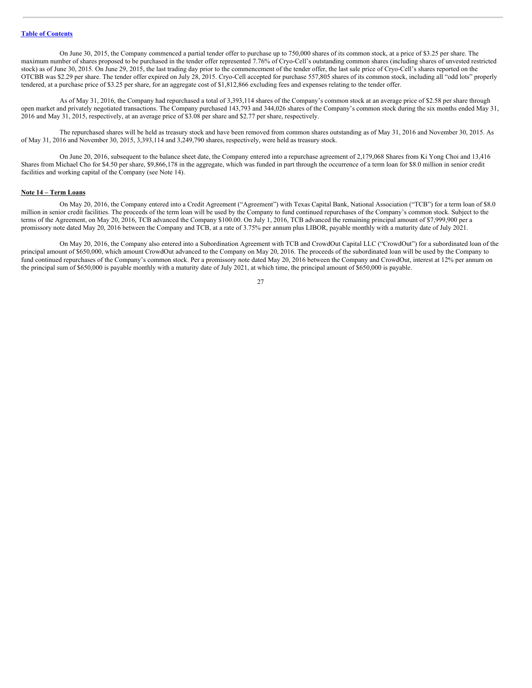On June 30, 2015, the Company commenced a partial tender offer to purchase up to 750,000 shares of its common stock, at a price of \$3.25 per share. The maximum number of shares proposed to be purchased in the tender offer represented 7.76% of Cryo-Cell's outstanding common shares (including shares of unvested restricted stock) as of June 30, 2015. On June 29, 2015, the last trading day prior to the commencement of the tender offer, the last sale price of Cryo-Cell's shares reported on the OTCBB was \$2.29 per share. The tender offer expired on July 28, 2015. Cryo-Cell accepted for purchase 557,805 shares of its common stock, including all "odd lots" properly tendered, at a purchase price of \$3.25 per share, for an aggregate cost of \$1,812,866 excluding fees and expenses relating to the tender offer.

As of May 31, 2016, the Company had repurchased a total of 3,393,114 shares of the Company's common stock at an average price of \$2.58 per share through open market and privately negotiated transactions. The Company purchased 143,793 and 344,026 shares of the Company's common stock during the six months ended May 31, 2016 and May 31, 2015, respectively, at an average price of \$3.08 per share and \$2.77 per share, respectively.

The repurchased shares will be held as treasury stock and have been removed from common shares outstanding as of May 31, 2016 and November 30, 2015. As of May 31, 2016 and November 30, 2015, 3,393,114 and 3,249,790 shares, respectively, were held as treasury stock.

On June 20, 2016, subsequent to the balance sheet date, the Company entered into a repurchase agreement of 2,179,068 Shares from Ki Yong Choi and 13,416 Shares from Michael Cho for \$4.50 per share, \$9,866,178 in the aggregate, which was funded in part through the occurrence of a term loan for \$8.0 million in senior credit facilities and working capital of the Company (see Note 14).

#### **Note 14 – Term Loans**

On May 20, 2016, the Company entered into a Credit Agreement ("Agreement") with Texas Capital Bank, National Association ("TCB") for a term loan of \$8.0 million in senior credit facilities. The proceeds of the term loan will be used by the Company to fund continued repurchases of the Company's common stock. Subject to the terms of the Agreement, on May 20, 2016, TCB advanced the Company \$100.00. On July 1, 2016, TCB advanced the remaining principal amount of \$7,999,900 per a promissory note dated May 20, 2016 between the Company and TCB, at a rate of 3.75% per annum plus LIBOR, payable monthly with a maturity date of July 2021.

On May 20, 2016, the Company also entered into a Subordination Agreement with TCB and CrowdOut Capital LLC ("CrowdOut") for a subordinated loan of the principal amount of \$650,000, which amount CrowdOut advanced to the Company on May 20, 2016. The proceeds of the subordinated loan will be used by the Company to fund continued repurchases of the Company's common stock. Per a promissory note dated May 20, 2016 between the Company and CrowdOut, interest at 12% per annum on the principal sum of \$650,000 is payable monthly with a maturity date of July 2021, at which time, the principal amount of \$650,000 is payable.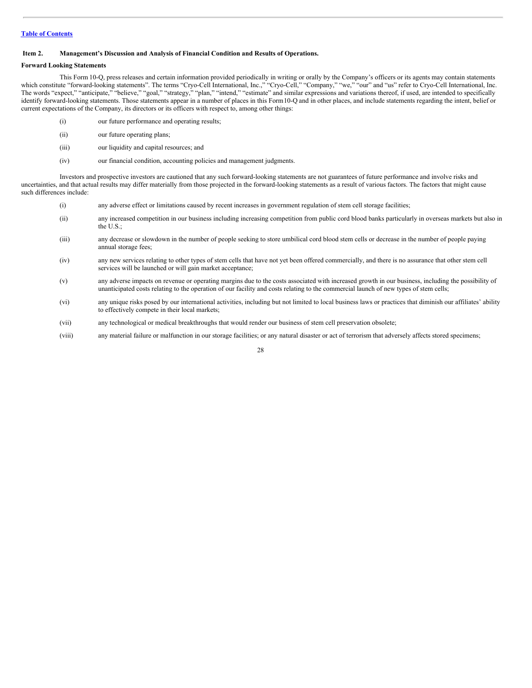#### **Table of [Contents](#page-1-0)**

#### <span id="page-27-0"></span>**Item 2. Management's Discussion and Analysis of Financial Condition and Results of Operations.**

#### **Forward Looking Statements**

This Form 10-Q, press releases and certain information provided periodically in writing or orally by the Company's officers or its agents may contain statements which constitute "forward-looking statements". The terms "Cryo-Cell International, Inc.," "Cryo-Cell," "Company," "we," "our" and "us" refer to Cryo-Cell International, Inc. The words "expect," "anticipate," "believe," "goal," "strategy," "plan," "intend," "estimate" and similar expressions and variations thereof, if used, are intended to specifically identify forward-looking statements. Those statements appear in a number of places in this Form10-Q and in other places, and include statements regarding the intent, belief or current expectations of the Company, its directors or its officers with respect to, among other things:

- (i) our future performance and operating results;
- (ii) our future operating plans;
- (iii) our liquidity and capital resources; and
- (iv) our financial condition, accounting policies and management judgments.

Investors and prospective investors are cautioned that any such forward-looking statements are not guarantees of future performance and involve risks and uncertainties, and that actual results may differ materially from those projected in the forward-looking statements as a result of various factors. The factors that might cause such differences include:

- (i) any adverse effect or limitations caused by recent increases in government regulation of stem cell storage facilities;
- (ii) any increased competition in our business including increasing competition from public cord blood banks particularly in overseas markets but also in the U.S.;
- (iii) any decrease or slowdown in the number of people seeking to store umbilical cord blood stem cells or decrease in the number of people paying annual storage fees;
- (iv) any new services relating to other types of stem cells that have not yet been offered commercially, and there is no assurance that other stem cell services will be launched or will gain market acceptance;
- (v) any adverse impacts on revenue or operating margins due to the costs associated with increased growth in our business, including the possibility of unanticipated costs relating to the operation of our facility and costs relating to the commercial launch of new types of stem cells;
- (vi) any unique risks posed by our international activities, including but not limited to local business laws or practices that diminish our affiliates' ability to effectively compete in their local markets;
- (vii) any technological or medical breakthroughs that would render our business of stem cell preservation obsolete;
- (viii) any material failure or malfunction in our storage facilities; or any natural disaster or act of terrorism that adversely affects stored specimens;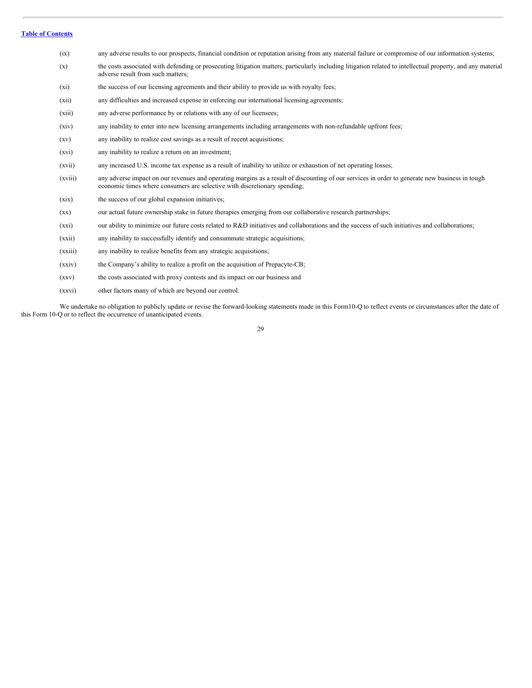#### **Table of [Contents](#page-1-0)**

- (ix) any adverse results to our prospects, financial condition or reputation arising from any material failure or compromise of our information systems; (x) the costs associated with defending or prosecuting litigation matters, particularly including litigation related to intellectual property, and any material adverse result from such matters; (xi) the success of our licensing agreements and their ability to provide us with royalty fees; (xii) any difficulties and increased expense in enforcing our international licensing agreements; (xiii) any adverse performance by or relations with any of our licensees; (xiv) any inability to enter into new licensing arrangements including arrangements with non-refundable upfront fees; (xv) any inability to realize cost savings as a result of recent acquisitions; (xvi) any inability to realize a return on an investment; (xvii) any increased U.S. income tax expense as a result of inability to utilize or exhaustion of net operating losses; (xviii) any adverse impact on our revenues and operating margins as a result of discounting of our services in order to generate new business in tough economic times where consumers are selective with discretionary spending; (xix) the success of our global expansion initiatives; (xx) our actual future ownership stake in future therapies emerging from our collaborative research partnerships; (xxi) our ability to minimize our future costs related to R&D initiatives and collaborations and the success of such initiatives and collaborations; (xxii) any inability to successfully identify and consummate strategic acquisitions; (xxiii) any inability to realize benefits from any strategic acquisitions; (xxiv) the Company's ability to realize a profit on the acquisition of Prepacyte-CB; (xxv) the costs associated with proxy contests and its impact on our business and
- (xxvi) other factors many of which are beyond our control.

We undertake no obligation to publicly update or revise the forward-looking statements made in this Form10-Q to reflect events or circumstances after the date of this Form 10-Q or to reflect the occurrence of unanticipated events.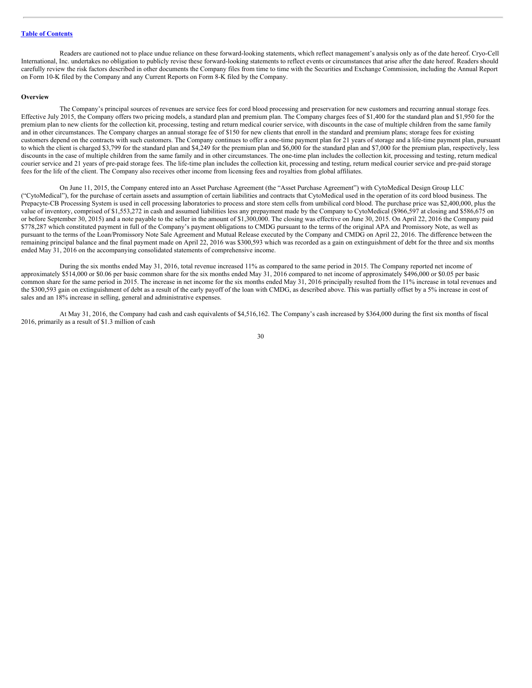Readers are cautioned not to place undue reliance on these forward-looking statements, which reflect management's analysis only as of the date hereof. Cryo-Cell International, Inc. undertakes no obligation to publicly revise these forward-looking statements to reflect events or circumstances that arise after the date hereof. Readers should carefully review the risk factors described in other documents the Company files from time to time with the Securities and Exchange Commission, including the Annual Report on Form 10-K filed by the Company and any Current Reports on Form 8-K filed by the Company.

#### **Overview**

The Company's principal sources of revenues are service fees for cord blood processing and preservation for new customers and recurring annual storage fees. Effective July 2015, the Company offers two pricing models, a standard plan and premium plan. The Company charges fees of \$1,400 for the standard plan and \$1,950 for the premium plan to new clients for the collection kit, processing, testing and return medical courier service, with discounts in the case of multiple children from the same family and in other circumstances. The Company charges an annual storage fee of \$150 for new clients that enroll in the standard and premium plans; storage fees for existing customers depend on the contracts with such customers. The Company continues to offer a one-time payment plan for 21 years of storage and a life-time payment plan, pursuant to which the client is charged \$3,799 for the standard plan and \$4,249 for the premium plan and \$6,000 for the standard plan and \$7,000 for the premium plan, respectively, less discounts in the case of multiple children from the same family and in other circumstances. The one-time plan includes the collection kit, processing and testing, return medical courier service and 21 years of pre-paid storage fees. The life-time plan includes the collection kit, processing and testing, return medical courier service and pre-paid storage fees for the life of the client. The Company also receives other income from licensing fees and royalties from global affiliates.

On June 11, 2015, the Company entered into an Asset Purchase Agreement (the "Asset Purchase Agreement") with CytoMedical Design Group LLC ("CytoMedical"), for the purchase of certain assets and assumption of certain liabilities and contracts that CytoMedical used in the operation of its cord blood business. The Prepacyte-CB Processing System is used in cell processing laboratories to process and store stem cells from umbilical cord blood. The purchase price was \$2,400,000, plus the value of inventory, comprised of \$1,553,272 in cash and assumed liabilities less any prepayment made by the Company to CytoMedical (\$966,597 at closing and \$586,675 on or before September 30, 2015) and a note payable to the seller in the amount of \$1,300,000. The closing was effective on June 30, 2015. On April 22, 2016 the Company paid \$778,287 which constituted payment in full of the Company's payment obligations to CMDG pursuant to the terms of the original APA and Promissory Note, as well as pursuant to the terms of the Loan/Promissory Note Sale Agreement and Mutual Release executed by the Company and CMDG on April 22, 2016. The difference between the remaining principal balance and the final payment made on April 22, 2016 was \$300,593 which was recorded as a gain on extinguishment of debt for the three and six months ended May 31, 2016 on the accompanying consolidated statements of comprehensive income.

During the six months ended May 31, 2016, total revenue increased 11% as compared to the same period in 2015. The Company reported net income of approximately \$514,000 or \$0.06 per basic common share for the six months ended May 31, 2016 compared to net income of approximately \$496,000 or \$0.05 per basic common share for the same period in 2015. The increase in net income for the six months ended May 31, 2016 principally resulted from the 11% increase in total revenues and the \$300,593 gain on extinguishment of debt as a result of the early payoff of the loan with CMDG, as described above. This was partially offset by a 5% increase in cost of sales and an 18% increase in selling, general and administrative expenses.

At May 31, 2016, the Company had cash and cash equivalents of \$4,516,162. The Company's cash increased by \$364,000 during the first six months of fiscal 2016, primarily as a result of \$1.3 million of cash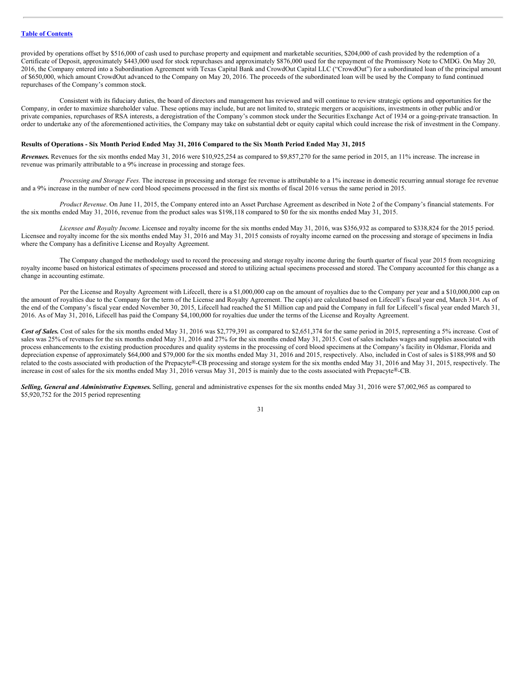provided by operations offset by \$516,000 of cash used to purchase property and equipment and marketable securities, \$204,000 of cash provided by the redemption of a Certificate of Deposit, approximately \$443,000 used for stock repurchases and approximately \$876,000 used for the repayment of the Promissory Note to CMDG. On May 20, 2016, the Company entered into a Subordination Agreement with Texas Capital Bank and CrowdOut Capital LLC ("CrowdOut") for a subordinated loan of the principal amount of \$650,000, which amount CrowdOut advanced to the Company on May 20, 2016. The proceeds of the subordinated loan will be used by the Company to fund continued repurchases of the Company's common stock.

Consistent with its fiduciary duties, the board of directors and management has reviewed and will continue to review strategic options and opportunities for the Company, in order to maximize shareholder value. These options may include, but are not limited to, strategic mergers or acquisitions, investments in other public and/or private companies, repurchases of RSA interests, a deregistration of the Company's common stock under the Securities Exchange Act of 1934 or a going-private transaction. In order to undertake any of the aforementioned activities, the Company may take on substantial debt or equity capital which could increase the risk of investment in the Company.

#### Results of Operations - Six Month Period Ended May 31, 2016 Compared to the Six Month Period Ended May 31, 2015

*Revenues.* Revenues for the six months ended May 31, 2016 were \$10,925,254 as compared to \$9,857,270 for the same period in 2015, an 11% increase. The increase in revenue was primarily attributable to a 9% increase in processing and storage fees.

*Processing and Storage Fees.* The increase in processing and storage fee revenue is attributable to a 1% increase in domestic recurring annual storage fee revenue and a 9% increase in the number of new cord blood specimens processed in the first six months of fiscal 2016 versus the same period in 2015.

*Product Revenue*. On June 11, 2015, the Company entered into an Asset Purchase Agreement as described in Note 2 of the Company's financial statements. For the six months ended May 31, 2016, revenue from the product sales was \$198,118 compared to \$0 for the six months ended May 31, 2015.

*Licensee and Royalty Income.* Licensee and royalty income for the six months ended May 31, 2016, was \$356,932 as compared to \$338,824 for the 2015 period. Licensee and royalty income for the six months ended May 31, 2016 and May 31, 2015 consists of royalty income earned on the processing and storage of specimens in India where the Company has a definitive License and Royalty Agreement.

The Company changed the methodology used to record the processing and storage royalty income during the fourth quarter of fiscal year 2015 from recognizing royalty income based on historical estimates of specimens processed and stored to utilizing actual specimens processed and stored. The Company accounted for this change as a change in accounting estimate.

Per the License and Royalty Agreement with Lifecell, there is a \$1,000,000 cap on the amount of royalties due to the Company per year and a \$10,000,000 cap on the amount of royalties due to the Company for the term of the License and Royalty Agreement. The cap(s) are calculated based on Lifecell's fiscal year end, March 31st. As of the end of the Company's fiscal year ended November 30, 2015, Lifecell had reached the \$1 Million cap and paid the Company in full for Lifecell's fiscal year ended March 31, 2016. As of May 31, 2016, Lifecell has paid the Company \$4,100,000 for royalties due under the terms of the License and Royalty Agreement.

Cost of Sales. Cost of sales for the six months ended May 31, 2016 was \$2,779,391 as compared to \$2,651,374 for the same period in 2015, representing a 5% increase. Cost of sales was 25% of revenues for the six months ended May 31, 2016 and 27% for the six months ended May 31, 2015. Cost of sales includes wages and supplies associated with process enhancements to the existing production procedures and quality systems in the processing of cord blood specimens at the Company's facility in Oldsmar, Florida and depreciation expense of approximately \$64,000 and \$79,000 for the six months ended May 31, 2016 and 2015, respectively. Also, included in Cost of sales is \$188,998 and \$0 related to the costs associated with production of the Prepacyte®-CB processing and storage system for the six months ended May 31, 2016 and May 31, 2015, respectively. The increase in cost of sales for the six months ended May 31, 2016 versus May 31, 2015 is mainly due to the costs associated with Prepacyte®-CB.

*Selling, General and Administrative Expenses.* Selling, general and administrative expenses for the six months ended May 31, 2016 were \$7,002,965 as compared to \$5,920,752 for the 2015 period representing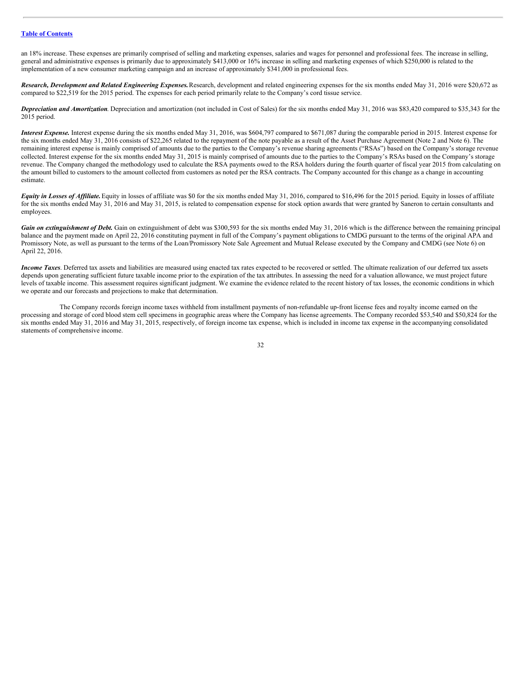#### **Table of [Contents](#page-1-0)**

an 18% increase. These expenses are primarily comprised of selling and marketing expenses, salaries and wages for personnel and professional fees. The increase in selling, general and administrative expenses is primarily due to approximately \$413,000 or 16% increase in selling and marketing expenses of which \$250,000 is related to the implementation of a new consumer marketing campaign and an increase of approximately \$341,000 in professional fees.

*Research, Development and Related Engineering Expenses.*Research, development and related engineering expenses for the six months ended May 31, 2016 were \$20,672 as compared to \$22,519 for the 2015 period. The expenses for each period primarily relate to the Company's cord tissue service.

*Depreciation and Amortization*. Depreciation and amortization (not included in Cost of Sales) for the six months ended May 31, 2016 was \$83,420 compared to \$35,343 for the 2015 period.

*Interest Expense.* Interest expense during the six months ended May 31, 2016, was \$604,797 compared to \$671,087 during the comparable period in 2015. Interest expense for the six months ended May 31, 2016 consists of \$22,265 related to the repayment of the note payable as a result of the Asset Purchase Agreement (Note 2 and Note 6). The remaining interest expense is mainly comprised of amounts due to the parties to the Company's revenue sharing agreements ("RSAs") based on the Company's storage revenue collected. Interest expense for the six months ended May 31, 2015 is mainly comprised of amounts due to the parties to the Company's RSAs based on the Company's storage revenue. The Company changed the methodology used to calculate the RSA payments owed to the RSA holders during the fourth quarter of fiscal year 2015 from calculating on the amount billed to customers to the amount collected from customers as noted per the RSA contracts. The Company accounted for this change as a change in accounting estimate.

*Equity in Losses of Affiliate.* Equity in losses of affiliate was \$0 for the six months ended May 31, 2016, compared to \$16,496 for the 2015 period. Equity in losses of affiliate for the six months ended May 31, 2016 and May 31, 2015, is related to compensation expense for stock option awards that were granted by Saneron to certain consultants and employees.

*Gain on extinguishment of Debt.* Gain on extinguishment of debt was \$300,593 for the six months ended May 31, 2016 which is the difference between the remaining principal balance and the payment made on April 22, 2016 constituting payment in full of the Company's payment obligations to CMDG pursuant to the terms of the original APA and Promissory Note, as well as pursuant to the terms of the Loan/Promissory Note Sale Agreement and Mutual Release executed by the Company and CMDG (see Note 6) on April 22, 2016.

*Income Taxes*. Deferred tax assets and liabilities are measured using enacted tax rates expected to be recovered or settled. The ultimate realization of our deferred tax assets depends upon generating sufficient future taxable income prior to the expiration of the tax attributes. In assessing the need for a valuation allowance, we must project future levels of taxable income. This assessment requires significant judgment. We examine the evidence related to the recent history of tax losses, the economic conditions in which we operate and our forecasts and projections to make that determination.

The Company records foreign income taxes withheld from installment payments of non-refundable up-front license fees and royalty income earned on the processing and storage of cord blood stem cell specimens in geographic areas where the Company has license agreements. The Company recorded \$53,540 and \$50,824 for the six months ended May 31, 2016 and May 31, 2015, respectively, of foreign income tax expense, which is included in income tax expense in the accompanying consolidated statements of comprehensive income.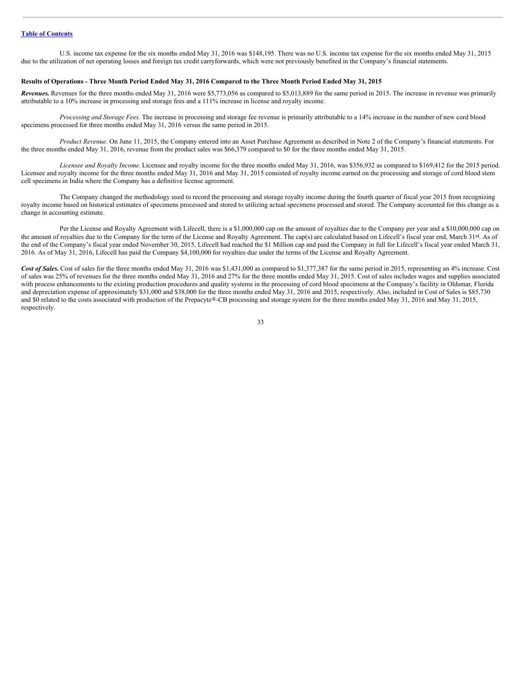U.S. income tax expense for the six months ended May 31, 2016 was \$148,195. There was no U.S. income tax expense for the six months ended May 31, 2015 due to the utilization of net operating losses and foreign tax credit carryforwards, which were not previously benefited in the Company's financial statements.

## Results of Operations - Three Month Period Ended May 31, 2016 Compared to the Three Month Period Ended May 31, 2015

*Revenues.* Revenues for the three months ended May 31, 2016 were \$5,773,056 as compared to \$5,013,889 for the same period in 2015. The increase in revenue was primarily attributable to a 10% increase in processing and storage fees and a 111% increase in license and royalty income.

*Processing and Storage Fees.* The increase in processing and storage fee revenue is primarily attributable to a 14% increase in the number of new cord blood specimens processed for three months ended May 31, 2016 versus the same period in 2015.

*Product Revenue*. On June 11, 2015, the Company entered into an Asset Purchase Agreement as described in Note 2 of the Company's financial statements. For the three months ended May 31, 2016, revenue from the product sales was \$66,379 compared to \$0 for the three months ended May 31, 2015.

*Licensee and Royalty Income.* Licensee and royalty income for the three months ended May 31, 2016, was \$356,932 as compared to \$169,412 for the 2015 period. Licensee and royalty income for the three months ended May 31, 2016 and May 31, 2015 consisted of royalty income earned on the processing and storage of cord blood stem cell specimens in India where the Company has a definitive license agreement.

The Company changed the methodology used to record the processing and storage royalty income during the fourth quarter of fiscal year 2015 from recognizing royalty income based on historical estimates of specimens processed and stored to utilizing actual specimens processed and stored. The Company accounted for this change as a change in accounting estimate.

Per the License and Royalty Agreement with Lifecell, there is a \$1,000,000 cap on the amount of royalties due to the Company per year and a \$10,000,000 cap on the amount of royalties due to the Company for the term of the License and Royalty Agreement. The cap(s) are calculated based on Lifecell's fiscal year end, March 31st. As of the end of the Company's fiscal year ended November 30, 2015, Lifecell had reached the \$1 Million cap and paid the Company in full for Lifecell's fiscal year ended March 31, 2016. As of May 31, 2016, Lifecell has paid the Company \$4,100,000 for royalties due under the terms of the License and Royalty Agreement.

Cost of Sales. Cost of sales for the three months ended May 31, 2016 was \$1,431,000 as compared to \$1,377,387 for the same period in 2015, representing an 4% increase. Cost of sales was 25% of revenues for the three months ended May 31, 2016 and 27% for the three months ended May 31, 2015. Cost of sales includes wages and supplies associated with process enhancements to the existing production procedures and quality systems in the processing of cord blood specimens at the Company's facility in Oldsmar, Florida and depreciation expense of approximately \$31,000 and \$38,000 for the three months ended May 31, 2016 and 2015, respectively. Also, included in Cost of Sales is \$85,730 and \$0 related to the costs associated with production of the Prepacyte®-CB processing and storage system for the three months ended May 31, 2016 and May 31, 2015, respectively.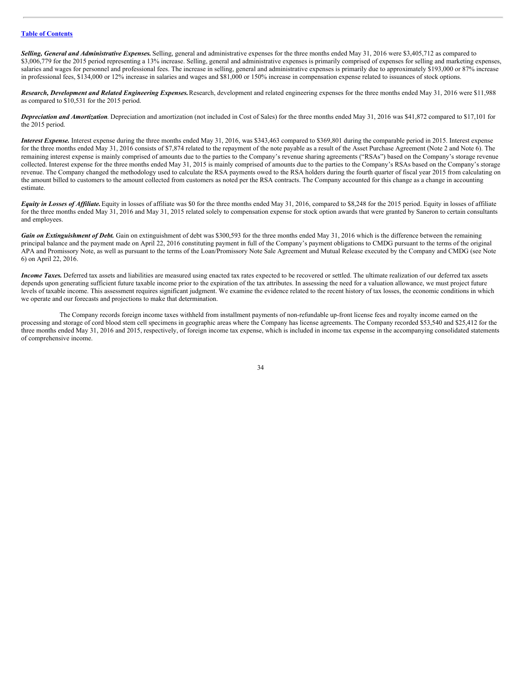#### **Table of [Contents](#page-1-0)**

*Selling, General and Administrative Expenses.* Selling, general and administrative expenses for the three months ended May 31, 2016 were \$3,405,712 as compared to \$3,006,779 for the 2015 period representing a 13% increase. Selling, general and administrative expenses is primarily comprised of expenses for selling and marketing expenses, salaries and wages for personnel and professional fees. The increase in selling, general and administrative expenses is primarily due to approximately \$193,000 or 87% increase in professional fees, \$134,000 or 12% increase in salaries and wages and \$81,000 or 150% increase in compensation expense related to issuances of stock options.

*Research, Development and Related Engineering Expenses.*Research, development and related engineering expenses for the three months ended May 31, 2016 were \$11,988 as compared to \$10,531 for the 2015 period.

*Depreciation and Amortization*. Depreciation and amortization (not included in Cost of Sales) for the three months ended May 31, 2016 was \$41,872 compared to \$17,101 for the 2015 period.

*Interest Expense.* Interest expense during the three months ended May 31, 2016, was \$343,463 compared to \$369,801 during the comparable period in 2015. Interest expense for the three months ended May 31, 2016 consists of \$7,874 related to the repayment of the note payable as a result of the Asset Purchase Agreement (Note 2 and Note 6). The remaining interest expense is mainly comprised of amounts due to the parties to the Company's revenue sharing agreements ("RSAs") based on the Company's storage revenue collected. Interest expense for the three months ended May 31, 2015 is mainly comprised of amounts due to the parties to the Company's RSAs based on the Company's storage revenue. The Company changed the methodology used to calculate the RSA payments owed to the RSA holders during the fourth quarter of fiscal year 2015 from calculating on the amount billed to customers to the amount collected from customers as noted per the RSA contracts. The Company accounted for this change as a change in accounting estimate.

*Equity in Losses of Af iliate.*Equity in losses of affiliate was \$0 for the three months ended May 31, 2016, compared to \$8,248 for the 2015 period. Equity in losses of affiliate for the three months ended May 31, 2016 and May 31, 2015 related solely to compensation expense for stock option awards that were granted by Saneron to certain consultants and employees.

*Gain on Extinguishment of Debt.* Gain on extinguishment of debt was \$300,593 for the three months ended May 31, 2016 which is the difference between the remaining principal balance and the payment made on April 22, 2016 constituting payment in full of the Company's payment obligations to CMDG pursuant to the terms of the original APA and Promissory Note, as well as pursuant to the terms of the Loan/Promissory Note Sale Agreement and Mutual Release executed by the Company and CMDG (see Note 6) on April 22, 2016.

*Income Taxes*. Deferred tax assets and liabilities are measured using enacted tax rates expected to be recovered or settled. The ultimate realization of our deferred tax assets depends upon generating sufficient future taxable income prior to the expiration of the tax attributes. In assessing the need for a valuation allowance, we must project future levels of taxable income. This assessment requires significant judgment. We examine the evidence related to the recent history of tax losses, the economic conditions in which we operate and our forecasts and projections to make that determination.

The Company records foreign income taxes withheld from installment payments of non-refundable up-front license fees and royalty income earned on the processing and storage of cord blood stem cell specimens in geographic areas where the Company has license agreements. The Company recorded \$53,540 and \$25,412 for the three months ended May 31, 2016 and 2015, respectively, of foreign income tax expense, which is included in income tax expense in the accompanying consolidated statements of comprehensive income.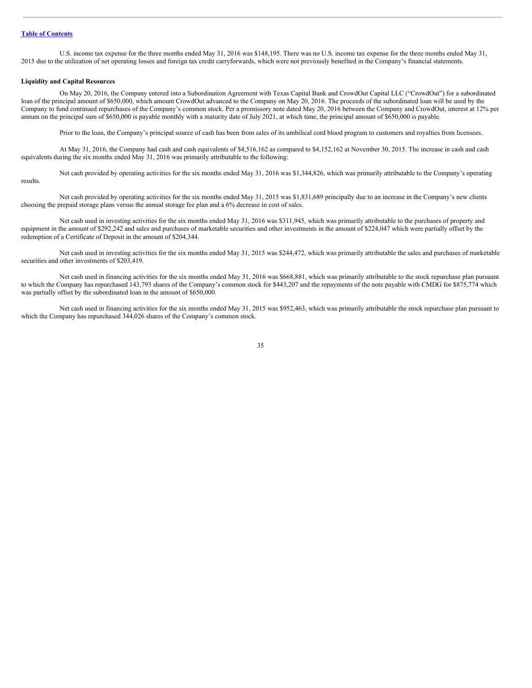U.S. income tax expense for the three months ended May 31, 2016 was \$148,195. There was no U.S. income tax expense for the three months ended May 31, 2015 due to the utilization of net operating losses and foreign tax credit carryforwards, which were not previously benefited in the Company's financial statements.

#### **Liquidity and Capital Resources**

On May 20, 2016, the Company entered into a Subordination Agreement with Texas Capital Bank and CrowdOut Capital LLC ("CrowdOut") for a subordinated loan of the principal amount of \$650,000, which amount CrowdOut advanced to the Company on May 20, 2016. The proceeds of the subordinated loan will be used by the Company to fund continued repurchases of the Company's common stock. Per a promissory note dated May 20, 2016 between the Company and CrowdOut, interest at 12% per annum on the principal sum of \$650,000 is payable monthly with a maturity date of July 2021, at which time, the principal amount of \$650,000 is payable.

Prior to the loan, the Company's principal source of cash has been from sales of its umbilical cord blood program to customers and royalties from licensees.

At May 31, 2016, the Company had cash and cash equivalents of \$4,516,162 as compared to \$4,152,162 at November 30, 2015. The increase in cash and cash equivalents during the six months ended May 31, 2016 was primarily attributable to the following:

Net cash provided by operating activities for the six months ended May 31, 2016 was \$1,344,826, which was primarily attributable to the Company's operating results.

Net cash provided by operating activities for the six months ended May 31, 2015 was \$1,831,689 principally due to an increase in the Company's new clients choosing the prepaid storage plans versus the annual storage fee plan and a 6% decrease in cost of sales.

Net cash used in investing activities for the six months ended May 31, 2016 was \$311,945, which was primarily attributable to the purchases of property and equipment in the amount of \$292,242 and sales and purchases of marketable securities and other investments in the amount of \$224,047 which were partially offset by the redemption of a Certificate of Deposit in the amount of \$204,344.

Net cash used in investing activities for the six months ended May 31, 2015 was \$244,472, which was primarily attributable the sales and purchases of marketable securities and other investments of \$203,419.

Net cash used in financing activities for the six months ended May 31, 2016 was \$668,881, which was primarily attributable to the stock repurchase plan pursuant to which the Company has repurchased 143,793 shares of the Company's common stock for \$443,207 and the repayments of the note payable with CMDG for \$875,774 which was partially offset by the subordinated loan in the amount of \$650,000.

Net cash used in financing activities for the six months ended May 31, 2015 was \$952,463, which was primarily attributable the stock repurchase plan pursuant to which the Company has repurchased 344,026 shares of the Company's common stock.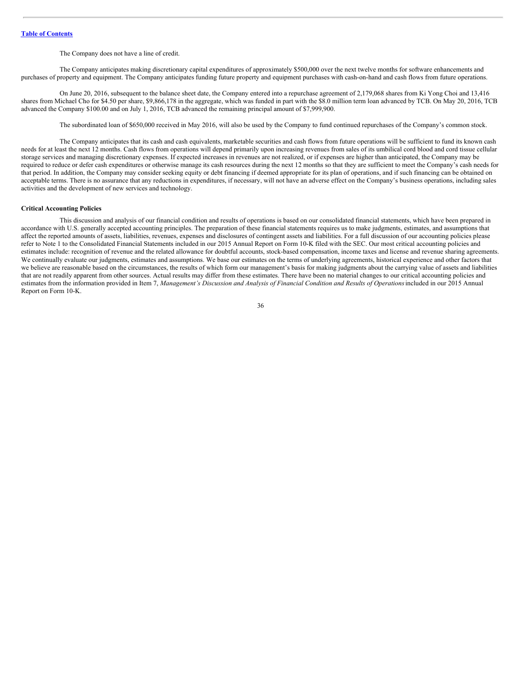#### The Company does not have a line of credit.

The Company anticipates making discretionary capital expenditures of approximately \$500,000 over the next twelve months for software enhancements and purchases of property and equipment. The Company anticipates funding future property and equipment purchases with cash-on-hand and cash flows from future operations.

On June 20, 2016, subsequent to the balance sheet date, the Company entered into a repurchase agreement of 2,179,068 shares from Ki Yong Choi and 13,416 shares from Michael Cho for \$4.50 per share, \$9,866,178 in the aggregate, which was funded in part with the \$8.0 million term loan advanced by TCB. On May 20, 2016, TCB advanced the Company \$100.00 and on July 1, 2016, TCB advanced the remaining principal amount of \$7,999,900.

The subordinated loan of \$650,000 received in May 2016, will also be used by the Company to fund continued repurchases of the Company's common stock.

The Company anticipates that its cash and cash equivalents, marketable securities and cash flows from future operations will be sufficient to fund its known cash needs for at least the next 12 months. Cash flows from operations will depend primarily upon increasing revenues from sales of its umbilical cord blood and cord tissue cellular storage services and managing discretionary expenses. If expected increases in revenues are not realized, or if expenses are higher than anticipated, the Company may be required to reduce or defer cash expenditures or otherwise manage its cash resources during the next 12 months so that they are sufficient to meet the Company's cash needs for that period. In addition, the Company may consider seeking equity or debt financing if deemed appropriate for its plan of operations, and if such financing can be obtained on acceptable terms. There is no assurance that any reductions in expenditures, if necessary, will not have an adverse effect on the Company's business operations, including sales activities and the development of new services and technology.

#### **Critical Accounting Policies**

This discussion and analysis of our financial condition and results of operations is based on our consolidated financial statements, which have been prepared in accordance with U.S. generally accepted accounting principles. The preparation of these financial statements requires us to make judgments, estimates, and assumptions that affect the reported amounts of assets, liabilities, revenues, expenses and disclosures of contingent assets and liabilities. For a full discussion of our accounting policies please refer to Note 1 to the Consolidated Financial Statements included in our 2015 Annual Report on Form 10-K filed with the SEC. Our most critical accounting policies and estimates include: recognition of revenue and the related allowance for doubtful accounts, stock-based compensation, income taxes and license and revenue sharing agreements. We continually evaluate our judgments, estimates and assumptions. We base our estimates on the terms of underlying agreements, historical experience and other factors that we believe are reasonable based on the circumstances, the results of which form our management's basis for making judgments about the carrying value of assets and liabilities that are not readily apparent from other sources. Actual results may differ from these estimates. There have been no material changes to our critical accounting policies and estimates from the information provided in Item 7, Management's Discussion and Analysis of Financial Condition and Results of Operations included in our 2015 Annual Report on Form 10-K.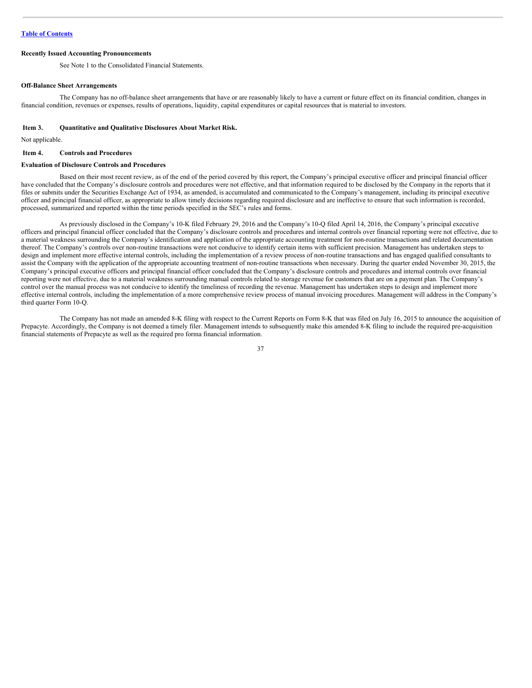#### **Recently Issued Accounting Pronouncements**

See Note 1 to the Consolidated Financial Statements.

#### **Off-Balance Sheet Arrangements**

The Company has no off-balance sheet arrangements that have or are reasonably likely to have a current or future effect on its financial condition, changes in financial condition, revenues or expenses, results of operations, liquidity, capital expenditures or capital resources that is material to investors.

#### <span id="page-36-0"></span>**Item 3. Quantitative and Qualitative Disclosures About Market Risk.**

Not applicable.

#### <span id="page-36-1"></span>**Item 4. Controls and Procedures**

#### **Evaluation of Disclosure Controls and Procedures**

Based on their most recent review, as of the end of the period covered by this report, the Company's principal executive officer and principal financial officer have concluded that the Company's disclosure controls and procedures were not effective, and that information required to be disclosed by the Company in the reports that it files or submits under the Securities Exchange Act of 1934, as amended, is accumulated and communicated to the Company's management, including its principal executive officer and principal financial officer, as appropriate to allow timely decisions regarding required disclosure and are ineffective to ensure that such information is recorded, processed, summarized and reported within the time periods specified in the SEC's rules and forms.

As previously disclosed in the Company's 10-K filed February 29, 2016 and the Company's 10-Q filed April 14, 2016, the Company's principal executive officers and principal financial officer concluded that the Company's disclosure controls and procedures and internal controls over financial reporting were not effective, due to a material weakness surrounding the Company's identification and application of the appropriate accounting treatment for non-routine transactions and related documentation thereof. The Company's controls over non-routine transactions were not conducive to identify certain items with sufficient precision. Management has undertaken steps to design and implement more effective internal controls, including the implementation of a review process of non-routine transactions and has engaged qualified consultants to assist the Company with the application of the appropriate accounting treatment of non-routine transactions when necessary. During the quarter ended November 30, 2015, the Company's principal executive officers and principal financial officer concluded that the Company's disclosure controls and procedures and internal controls over financial reporting were not effective, due to a material weakness surrounding manual controls related to storage revenue for customers that are on a payment plan. The Company's control over the manual process was not conducive to identify the timeliness of recording the revenue. Management has undertaken steps to design and implement more effective internal controls, including the implementation of a more comprehensive review process of manual invoicing procedures. Management will address in the Company's third quarter Form 10-Q.

The Company has not made an amended 8-K filing with respect to the Current Reports on Form 8-K that was filed on July 16, 2015 to announce the acquisition of Prepacyte. Accordingly, the Company is not deemed a timely filer. Management intends to subsequently make this amended 8-K filing to include the required pre-acquisition financial statements of Prepacyte as well as the required pro forma financial information.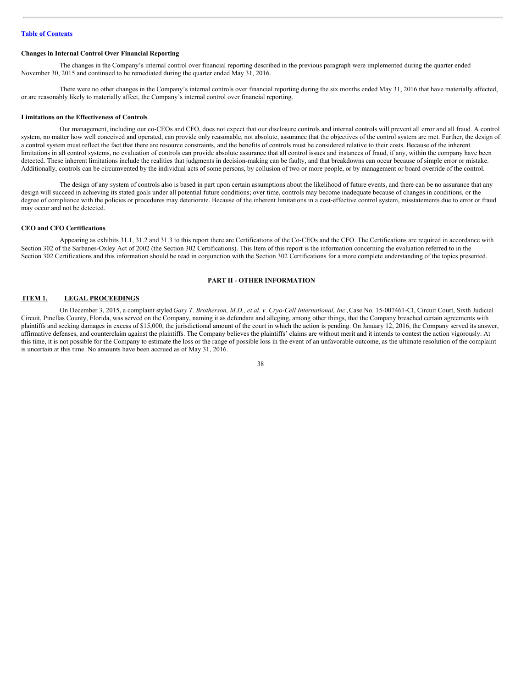#### **Changes in Internal Control Over Financial Reporting**

The changes in the Company's internal control over financial reporting described in the previous paragraph were implemented during the quarter ended November 30, 2015 and continued to be remediated during the quarter ended May 31, 2016.

There were no other changes in the Company's internal controls over financial reporting during the six months ended May 31, 2016 that have materially affected, or are reasonably likely to materially affect, the Company's internal control over financial reporting.

#### **Limitations on the Effectiveness of Controls**

Our management, including our co-CEOs and CFO, does not expect that our disclosure controls and internal controls will prevent all error and all fraud. A control system, no matter how well conceived and operated, can provide only reasonable, not absolute, assurance that the objectives of the control system are met. Further, the design of a control system must reflect the fact that there are resource constraints, and the benefits of controls must be considered relative to their costs. Because of the inherent limitations in all control systems, no evaluation of controls can provide absolute assurance that all control issues and instances of fraud, if any, within the company have been detected. These inherent limitations include the realities that judgments in decision-making can be faulty, and that breakdowns can occur because of simple error or mistake. Additionally, controls can be circumvented by the individual acts of some persons, by collusion of two or more people, or by management or board override of the control.

The design of any system of controls also is based in part upon certain assumptions about the likelihood of future events, and there can be no assurance that any design will succeed in achieving its stated goals under all potential future conditions; over time, controls may become inadequate because of changes in conditions, or the degree of compliance with the policies or procedures may deteriorate. Because of the inherent limitations in a cost-effective control system, misstatements due to error or fraud may occur and not be detected.

#### **CEO and CFO Certifications**

Appearing as exhibits 31.1, 31.2 and 31.3 to this report there are Certifications of the Co-CEOs and the CFO. The Certifications are required in accordance with Section 302 of the Sarbanes-Oxley Act of 2002 (the Section 302 Certifications). This Item of this report is the information concerning the evaluation referred to in the Section 302 Certifications and this information should be read in conjunction with the Section 302 Certifications for a more complete understanding of the topics presented.

#### <span id="page-37-0"></span>**PART II - OTHER INFORMATION**

#### <span id="page-37-1"></span>**ITEM 1. LEGAL PROCEEDINGS**

On December 3, 2015, a complaint styled Gary T. Brotherson, M.D., et al. v. Cryo-Cell International, Inc., Case No. 15-007461-CI, Circuit Court, Sixth Judicial Circuit, Pinellas County, Florida, was served on the Company, naming it as defendant and alleging, among other things, that the Company breached certain agreements with plaintiffs and seeking damages in excess of \$15,000, the jurisdictional amount of the court in which the action is pending. On January 12, 2016, the Company served its answer, affirmative defenses, and counterclaim against the plaintiffs. The Company believes the plaintiffs' claims are without merit and it intends to contest the action vigorously. At this time, it is not possible for the Company to estimate the loss or the range of possible loss in the event of an unfavorable outcome, as the ultimate resolution of the complaint is uncertain at this time. No amounts have been accrued as of May 31, 2016.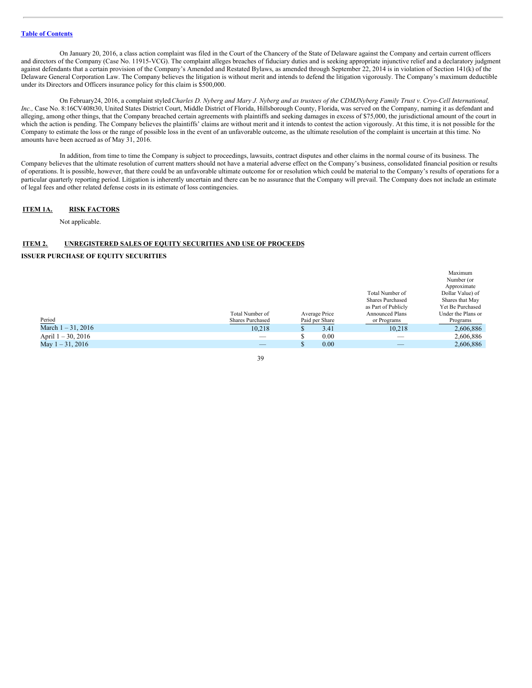On January 20, 2016, a class action complaint was filed in the Court of the Chancery of the State of Delaware against the Company and certain current officers and directors of the Company (Case No. 11915-VCG). The complaint alleges breaches of fiduciary duties and is seeking appropriate injunctive relief and a declaratory judgment against defendants that a certain provision of the Company's Amended and Restated Bylaws, as amended through September 22, 2014 is in violation of Section 141(k) of the Delaware General Corporation Law. The Company believes the litigation is without merit and intends to defend the litigation vigorously. The Company's maximum deductible under its Directors and Officers insurance policy for this claim is \$500,000.

On February 24, 2016, a complaint styled Charles D. Nyberg and Mary J. Nyberg and as trustees of the CDMJNyberg Family Trust v. Cryo-Cell International, *Inc.,* Case No. 8:16CV408t30, United States District Court, Middle District of Florida, Hillsborough County, Florida, was served on the Company, naming it as defendant and alleging, among other things, that the Company breached certain agreements with plaintiffs and seeking damages in excess of \$75,000, the jurisdictional amount of the court in which the action is pending. The Company believes the plaintiffs' claims are without merit and it intends to contest the action vigorously. At this time, it is not possible for the Company to estimate the loss or the range of possible loss in the event of an unfavorable outcome, as the ultimate resolution of the complaint is uncertain at this time. No amounts have been accrued as of May 31, 2016.

In addition, from time to time the Company is subject to proceedings, lawsuits, contract disputes and other claims in the normal course of its business. The Company believes that the ultimate resolution of current matters should not have a material adverse effect on the Company's business, consolidated financial position or results of operations. It is possible, however, that there could be an unfavorable ultimate outcome for or resolution which could be material to the Company's results of operations for a particular quarterly reporting period. Litigation is inherently uncertain and there can be no assurance that the Company will prevail. The Company does not include an estimate of legal fees and other related defense costs in its estimate of loss contingencies.

#### <span id="page-38-0"></span>**ITEM 1A. RISK FACTORS**

Not applicable.

# <span id="page-38-1"></span>**ITEM 2. UNREGISTERED SALES OF EQUITY SECURITIES AND USE OF PROCEEDS**

## **ISSUER PURCHASE OF EQUITY SECURITIES**

| Number (or                                                                       |
|----------------------------------------------------------------------------------|
|                                                                                  |
| Approximate                                                                      |
| Total Number of<br>Dollar Value) of                                              |
| <b>Shares Purchased</b><br>Shares that May                                       |
| as Part of Publicly<br>Yet Be Purchased                                          |
| Total Number of<br>Average Price<br><b>Announced Plans</b><br>Under the Plans or |
| Period<br>Paid per Share<br>Shares Purchased<br>or Programs<br>Programs          |
| March $1 - 31$ , 2016<br>10.218<br>10,218<br>2,606,886<br>3.41<br>Φ              |
| April $1 - 30$ , 2016<br>2,606,886<br>0.00<br>_<br>$\overline{\phantom{a}}$<br>D |
| 0.00<br>2,606,886<br>May $1 - 31$ , 2016<br>D                                    |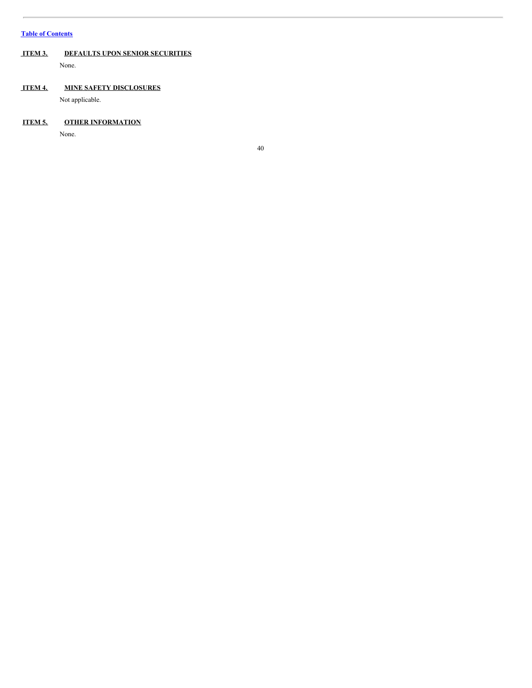# **Table of [Contents](#page-1-0)**

# <span id="page-39-0"></span>**ITEM 3. DEFAULTS UPON SENIOR SECURITIES**

None.

# <span id="page-39-1"></span>**ITEM 4. MINE SAFETY DISCLOSURES**

Not applicable.

# <span id="page-39-2"></span>**ITEM 5. OTHER INFORMATION**

None.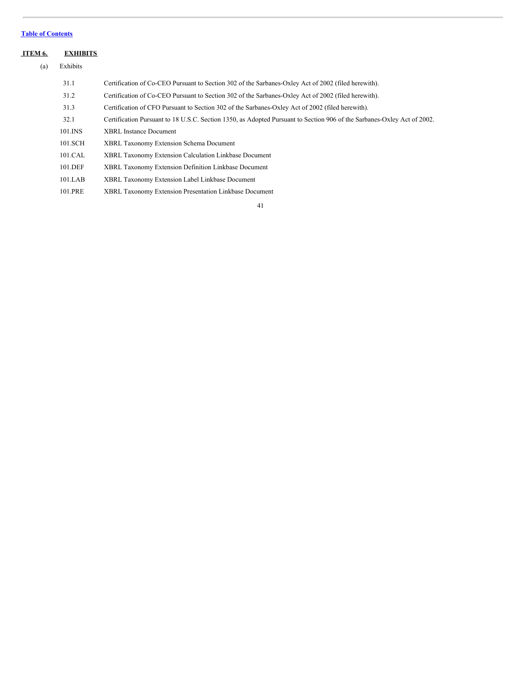# **Table of [Contents](#page-1-0)**

<span id="page-40-0"></span>

| ITEM 6. | <b>EXHIBITS</b> |                                                                                                                         |
|---------|-----------------|-------------------------------------------------------------------------------------------------------------------------|
| (a)     | Exhibits        |                                                                                                                         |
|         | 31.1            | Certification of Co-CEO Pursuant to Section 302 of the Sarbanes-Oxley Act of 2002 (filed herewith).                     |
|         | 31.2            | Certification of Co-CEO Pursuant to Section 302 of the Sarbanes-Oxley Act of 2002 (filed herewith).                     |
|         | 31.3            | Certification of CFO Pursuant to Section 302 of the Sarbanes-Oxley Act of 2002 (filed herewith).                        |
|         | 32.1            | Certification Pursuant to 18 U.S.C. Section 1350, as Adopted Pursuant to Section 906 of the Sarbanes-Oxley Act of 2002. |
|         | 101.INS         | <b>XBRL Instance Document</b>                                                                                           |
|         | 101.SCH         | <b>XBRL Taxonomy Extension Schema Document</b>                                                                          |
|         | 101.CAL         | <b>XBRL Taxonomy Extension Calculation Linkbase Document</b>                                                            |
|         | 101.DEF         | <b>XBRL Taxonomy Extension Definition Linkbase Document</b>                                                             |
|         | 101.LAB         | XBRL Taxonomy Extension Label Linkbase Document                                                                         |
|         | 101.PRE         | XBRL Taxonomy Extension Presentation Linkbase Document                                                                  |
|         |                 |                                                                                                                         |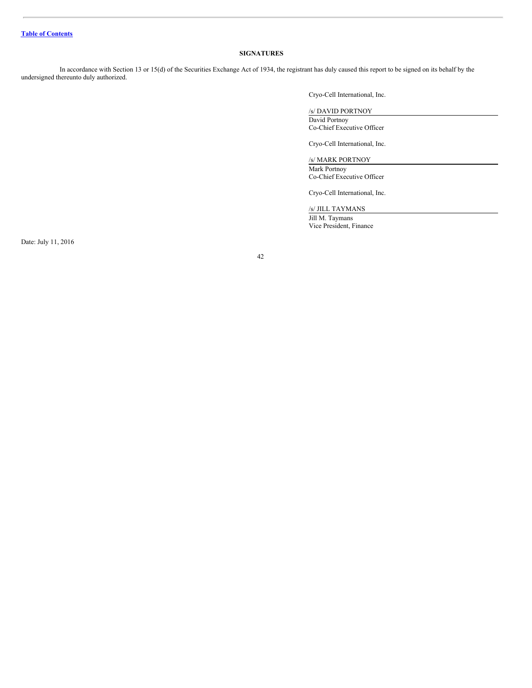#### <span id="page-41-0"></span>**SIGNATURES**

In accordance with Section 13 or 15(d) of the Securities Exchange Act of 1934, the registrant has duly caused this report to be signed on its behalf by the undersigned thereunto duly authorized.

Cryo-Cell International, Inc.

# /s/ DAVID PORTNOY

David Portnoy Co-Chief Executive Officer

Cryo-Cell International, Inc.

/s/ MARK PORTNOY

Mark Portnoy Co-Chief Executive Officer

Cryo-Cell International, Inc.

/s/ JILL TAYMANS

Jill M. Taymans Vice President, Finance

Date: July 11, 2016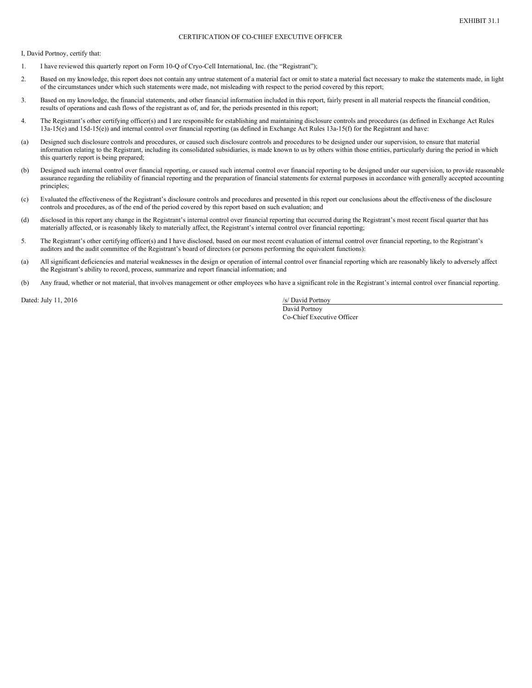#### CERTIFICATION OF CO-CHIEF EXECUTIVE OFFICER

I, David Portnoy, certify that:

- 1. I have reviewed this quarterly report on Form 10-Q of Cryo-Cell International, Inc. (the "Registrant");
- 2. Based on my knowledge, this report does not contain any untrue statement of a material fact or omit to state a material fact necessary to make the statements made, in light of the circumstances under which such statements were made, not misleading with respect to the period covered by this report;
- 3. Based on my knowledge, the financial statements, and other financial information included in this report, fairly present in all material respects the financial condition, results of operations and cash flows of the registrant as of, and for, the periods presented in this report;
- 4. The Registrant's other certifying officer(s) and I are responsible for establishing and maintaining disclosure controls and procedures (as defined in Exchange Act Rules 13a-15(e) and 15d-15(e)) and internal control over financial reporting (as defined in Exchange Act Rules 13a-15(f) for the Registrant and have:
- (a) Designed such disclosure controls and procedures, or caused such disclosure controls and procedures to be designed under our supervision, to ensure that material information relating to the Registrant, including its consolidated subsidiaries, is made known to us by others within those entities, particularly during the period in which this quarterly report is being prepared;
- (b) Designed such internal control over financial reporting, or caused such internal control over financial reporting to be designed under our supervision, to provide reasonable assurance regarding the reliability of financial reporting and the preparation of financial statements for external purposes in accordance with generally accepted accounting principles;
- (c) Evaluated the effectiveness of the Registrant's disclosure controls and procedures and presented in this report our conclusions about the effectiveness of the disclosure controls and procedures, as of the end of the period covered by this report based on such evaluation; and
- (d) disclosed in this report any change in the Registrant's internal control over financial reporting that occurred during the Registrant's most recent fiscal quarter that has materially affected, or is reasonably likely to materially affect, the Registrant's internal control over financial reporting;
- 5. The Registrant's other certifying officer(s) and I have disclosed, based on our most recent evaluation of internal control over financial reporting, to the Registrant's auditors and the audit committee of the Registrant's board of directors (or persons performing the equivalent functions):
- (a) All significant deficiencies and material weaknesses in the design or operation of internal control over financial reporting which are reasonably likely to adversely affect the Registrant's ability to record, process, summarize and report financial information; and
- (b) Any fraud, whether or not material, that involves management or other employees who have a significant role in the Registrant's internal control over financial reporting.

Dated: July 11, 2016 /s/ David Portnoy

David Portnoy Co-Chief Executive Officer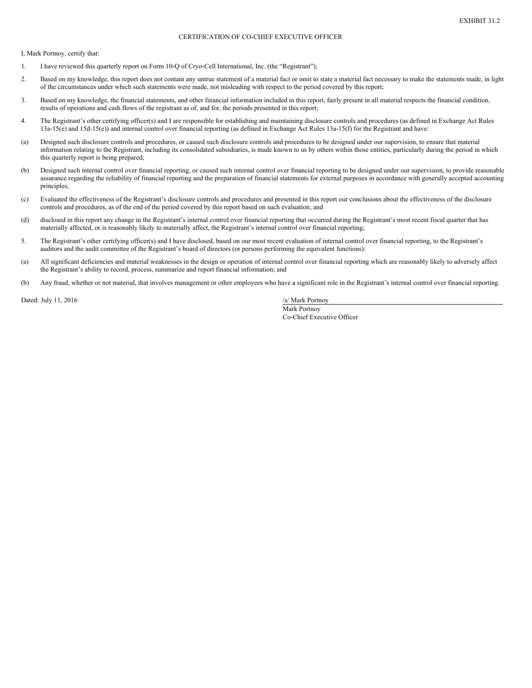#### CERTIFICATION OF CO-CHIEF EXECUTIVE OFFICER

I, Mark Portnoy, certify that:

- 1. I have reviewed this quarterly report on Form 10-Q of Cryo-Cell International, Inc. (the "Registrant");
- 2. Based on my knowledge, this report does not contain any untrue statement of a material fact or omit to state a material fact necessary to make the statements made, in light of the circumstances under which such statements were made, not misleading with respect to the period covered by this report;
- 3. Based on my knowledge, the financial statements, and other financial information included in this report, fairly present in all material respects the financial condition, results of operations and cash flows of the registrant as of, and for, the periods presented in this report;
- 4. The Registrant's other certifying officer(s) and I are responsible for establishing and maintaining disclosure controls and procedures (as defined in Exchange Act Rules 13a-15(e) and 15d-15(e)) and internal control over financial reporting (as defined in Exchange Act Rules 13a-15(f) for the Registrant and have:
- (a) Designed such disclosure controls and procedures, or caused such disclosure controls and procedures to be designed under our supervision, to ensure that material information relating to the Registrant, including its consolidated subsidiaries, is made known to us by others within those entities, particularly during the period in which this quarterly report is being prepared;
- (b) Designed such internal control over financial reporting, or caused such internal control over financial reporting to be designed under our supervision, to provide reasonable assurance regarding the reliability of financial reporting and the preparation of financial statements for external purposes in accordance with generally accepted accounting principles;
- (c) Evaluated the effectiveness of the Registrant's disclosure controls and procedures and presented in this report our conclusions about the effectiveness of the disclosure controls and procedures, as of the end of the period covered by this report based on such evaluation; and
- (d) disclosed in this report any change in the Registrant's internal control over financial reporting that occurred during the Registrant's most recent fiscal quarter that has materially affected, or is reasonably likely to materially affect, the Registrant's internal control over financial reporting;
- 5. The Registrant's other certifying officer(s) and I have disclosed, based on our most recent evaluation of internal control over financial reporting, to the Registrant's auditors and the audit committee of the Registrant's board of directors (or persons performing the equivalent functions):
- (a) All significant deficiencies and material weaknesses in the design or operation of internal control over financial reporting which are reasonably likely to adversely affect the Registrant's ability to record, process, summarize and report financial information; and
- (b) Any fraud, whether or not material, that involves management or other employees who have a significant role in the Registrant's internal control over financial reporting.

Dated: July 11, 2016 /s/ Mark Portnoy

Mark Portnoy Co-Chief Executive Officer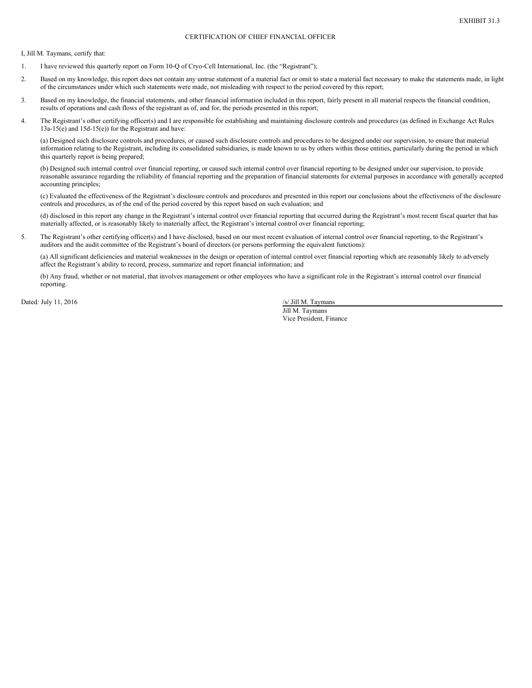#### CERTIFICATION OF CHIEF FINANCIAL OFFICER

I, Jill M. Taymans, certify that:

- 1. I have reviewed this quarterly report on Form 10-Q of Cryo-Cell International, Inc. (the "Registrant");
- 2. Based on my knowledge, this report does not contain any untrue statement of a material fact or omit to state a material fact necessary to make the statements made, in light of the circumstances under which such statements were made, not misleading with respect to the period covered by this report;
- 3. Based on my knowledge, the financial statements, and other financial information included in this report, fairly present in all material respects the financial condition, results of operations and cash flows of the registrant as of, and for, the periods presented in this report;
- 4. The Registrant's other certifying officer(s) and I are responsible for establishing and maintaining disclosure controls and procedures (as defined in Exchange Act Rules 13a-15(e) and 15d-15(e)) for the Registrant and have:

(a) Designed such disclosure controls and procedures, or caused such disclosure controls and procedures to be designed under our supervision, to ensure that material information relating to the Registrant, including its consolidated subsidiaries, is made known to us by others within those entities, particularly during the period in which this quarterly report is being prepared;

(b) Designed such internal control over financial reporting, or caused such internal control over financial reporting to be designed under our supervision, to provide reasonable assurance regarding the reliability of financial reporting and the preparation of financial statements for external purposes in accordance with generally accepted accounting principles;

(c) Evaluated the effectiveness of the Registrant's disclosure controls and procedures and presented in this report our conclusions about the effectiveness of the disclosure controls and procedures, as of the end of the period covered by this report based on such evaluation; and

(d) disclosed in this report any change in the Registrant's internal control over financial reporting that occurred during the Registrant's most recent fiscal quarter that has materially affected, or is reasonably likely to materially affect, the Registrant's internal control over financial reporting;

5. The Registrant's other certifying officer(s) and I have disclosed, based on our most recent evaluation of internal control over financial reporting, to the Registrant's auditors and the audit committee of the Registrant's board of directors (or persons performing the equivalent functions):

(a) All significant deficiencies and material weaknesses in the design or operation of internal control over financial reporting which are reasonably likely to adversely affect the Registrant's ability to record, process, summarize and report financial information; and

(b) Any fraud, whether or not material, that involves management or other employees who have a significant role in the Registrant's internal control over financial reporting.

Dated: July 11, 2016 /s/ Jill M. Taymans

Jill M. Taymans Vice President, Finance